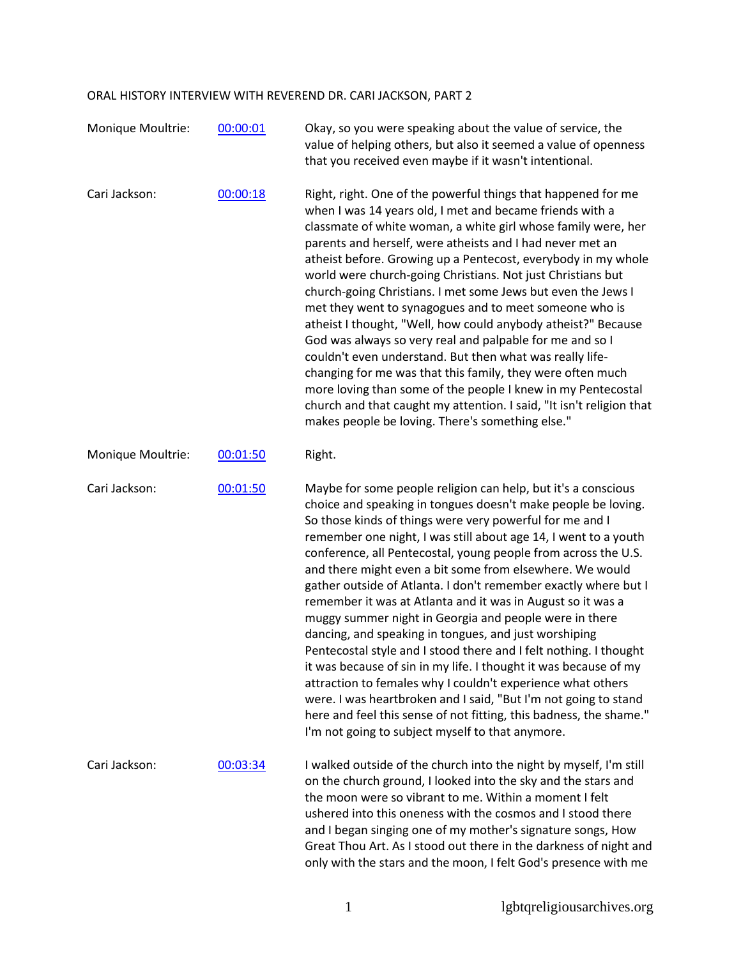## ORAL HISTORY INTERVIEW WITH REVEREND DR. CARI JACKSON, PART 2

| Monique Moultrie: | 00:00:01 | Okay, so you were speaking about the value of service, the<br>value of helping others, but also it seemed a value of openness<br>that you received even maybe if it wasn't intentional.                                                                                                                                                                                                                                                                                                                                                                                                                                                                                                                                                                                                                                                                                                                                                                                                                                                               |
|-------------------|----------|-------------------------------------------------------------------------------------------------------------------------------------------------------------------------------------------------------------------------------------------------------------------------------------------------------------------------------------------------------------------------------------------------------------------------------------------------------------------------------------------------------------------------------------------------------------------------------------------------------------------------------------------------------------------------------------------------------------------------------------------------------------------------------------------------------------------------------------------------------------------------------------------------------------------------------------------------------------------------------------------------------------------------------------------------------|
| Cari Jackson:     | 00:00:18 | Right, right. One of the powerful things that happened for me<br>when I was 14 years old, I met and became friends with a<br>classmate of white woman, a white girl whose family were, her<br>parents and herself, were atheists and I had never met an<br>atheist before. Growing up a Pentecost, everybody in my whole<br>world were church-going Christians. Not just Christians but<br>church-going Christians. I met some Jews but even the Jews I<br>met they went to synagogues and to meet someone who is<br>atheist I thought, "Well, how could anybody atheist?" Because<br>God was always so very real and palpable for me and so I<br>couldn't even understand. But then what was really life-<br>changing for me was that this family, they were often much<br>more loving than some of the people I knew in my Pentecostal<br>church and that caught my attention. I said, "It isn't religion that<br>makes people be loving. There's something else."                                                                                  |
| Monique Moultrie: | 00:01:50 | Right.                                                                                                                                                                                                                                                                                                                                                                                                                                                                                                                                                                                                                                                                                                                                                                                                                                                                                                                                                                                                                                                |
| Cari Jackson:     | 00:01:50 | Maybe for some people religion can help, but it's a conscious<br>choice and speaking in tongues doesn't make people be loving.<br>So those kinds of things were very powerful for me and I<br>remember one night, I was still about age 14, I went to a youth<br>conference, all Pentecostal, young people from across the U.S.<br>and there might even a bit some from elsewhere. We would<br>gather outside of Atlanta. I don't remember exactly where but I<br>remember it was at Atlanta and it was in August so it was a<br>muggy summer night in Georgia and people were in there<br>dancing, and speaking in tongues, and just worshiping<br>Pentecostal style and I stood there and I felt nothing. I thought<br>it was because of sin in my life. I thought it was because of my<br>attraction to females why I couldn't experience what others<br>were. I was heartbroken and I said, "But I'm not going to stand<br>here and feel this sense of not fitting, this badness, the shame."<br>I'm not going to subject myself to that anymore. |
| Cari Jackson:     | 00:03:34 | I walked outside of the church into the night by myself, I'm still<br>on the church ground, I looked into the sky and the stars and<br>the moon were so vibrant to me. Within a moment I felt<br>ushered into this oneness with the cosmos and I stood there<br>and I began singing one of my mother's signature songs, How<br>Great Thou Art. As I stood out there in the darkness of night and<br>only with the stars and the moon, I felt God's presence with me                                                                                                                                                                                                                                                                                                                                                                                                                                                                                                                                                                                   |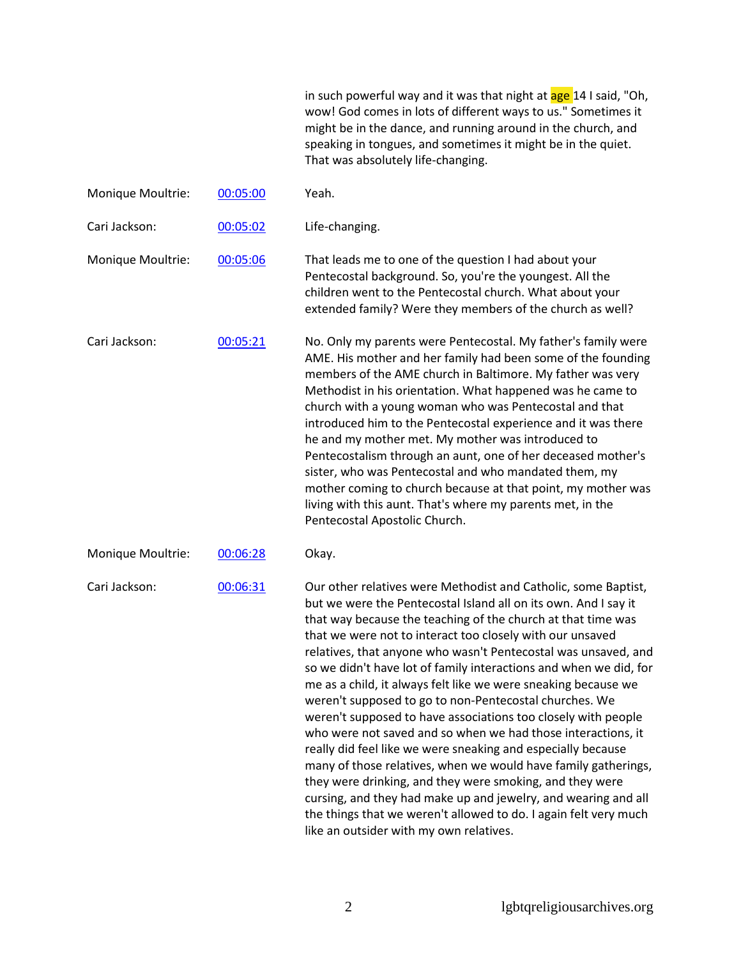in such powerful way and it was that night at age 14 I said, "Oh, wow! God comes in lots of different ways to us." Sometimes it might be in the dance, and running around in the church, and speaking in tongues, and sometimes it might be in the quiet. That was absolutely life-changing.

| Monique Moultrie: | 00:05:00 | Yeah.                                                                                                                                                                                                                                                                                                                                                                                                                                                                                                                                                                                                                                                                                                                                                                                                                                                                                                                                                                                                                                             |
|-------------------|----------|---------------------------------------------------------------------------------------------------------------------------------------------------------------------------------------------------------------------------------------------------------------------------------------------------------------------------------------------------------------------------------------------------------------------------------------------------------------------------------------------------------------------------------------------------------------------------------------------------------------------------------------------------------------------------------------------------------------------------------------------------------------------------------------------------------------------------------------------------------------------------------------------------------------------------------------------------------------------------------------------------------------------------------------------------|
| Cari Jackson:     | 00:05:02 | Life-changing.                                                                                                                                                                                                                                                                                                                                                                                                                                                                                                                                                                                                                                                                                                                                                                                                                                                                                                                                                                                                                                    |
| Monique Moultrie: | 00:05:06 | That leads me to one of the question I had about your<br>Pentecostal background. So, you're the youngest. All the<br>children went to the Pentecostal church. What about your<br>extended family? Were they members of the church as well?                                                                                                                                                                                                                                                                                                                                                                                                                                                                                                                                                                                                                                                                                                                                                                                                        |
| Cari Jackson:     | 00:05:21 | No. Only my parents were Pentecostal. My father's family were<br>AME. His mother and her family had been some of the founding<br>members of the AME church in Baltimore. My father was very<br>Methodist in his orientation. What happened was he came to<br>church with a young woman who was Pentecostal and that<br>introduced him to the Pentecostal experience and it was there<br>he and my mother met. My mother was introduced to<br>Pentecostalism through an aunt, one of her deceased mother's<br>sister, who was Pentecostal and who mandated them, my<br>mother coming to church because at that point, my mother was<br>living with this aunt. That's where my parents met, in the<br>Pentecostal Apostolic Church.                                                                                                                                                                                                                                                                                                                 |
| Monique Moultrie: | 00:06:28 | Okay.                                                                                                                                                                                                                                                                                                                                                                                                                                                                                                                                                                                                                                                                                                                                                                                                                                                                                                                                                                                                                                             |
| Cari Jackson:     | 00:06:31 | Our other relatives were Methodist and Catholic, some Baptist,<br>but we were the Pentecostal Island all on its own. And I say it<br>that way because the teaching of the church at that time was<br>that we were not to interact too closely with our unsaved<br>relatives, that anyone who wasn't Pentecostal was unsaved, and<br>so we didn't have lot of family interactions and when we did, for<br>me as a child, it always felt like we were sneaking because we<br>weren't supposed to go to non-Pentecostal churches. We<br>weren't supposed to have associations too closely with people<br>who were not saved and so when we had those interactions, it<br>really did feel like we were sneaking and especially because<br>many of those relatives, when we would have family gatherings,<br>they were drinking, and they were smoking, and they were<br>cursing, and they had make up and jewelry, and wearing and all<br>the things that we weren't allowed to do. I again felt very much<br>like an outsider with my own relatives. |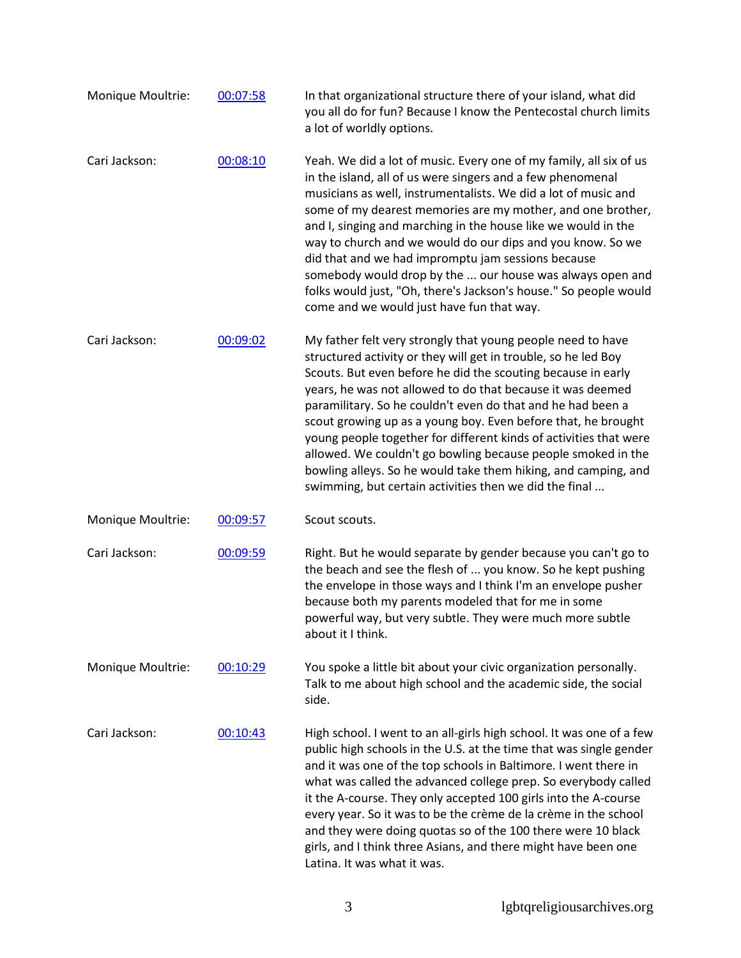| Monique Moultrie: | 00:07:58 | In that organizational structure there of your island, what did<br>you all do for fun? Because I know the Pentecostal church limits<br>a lot of worldly options.                                                                                                                                                                                                                                                                                                                                                                                                                                                                                             |
|-------------------|----------|--------------------------------------------------------------------------------------------------------------------------------------------------------------------------------------------------------------------------------------------------------------------------------------------------------------------------------------------------------------------------------------------------------------------------------------------------------------------------------------------------------------------------------------------------------------------------------------------------------------------------------------------------------------|
| Cari Jackson:     | 00:08:10 | Yeah. We did a lot of music. Every one of my family, all six of us<br>in the island, all of us were singers and a few phenomenal<br>musicians as well, instrumentalists. We did a lot of music and<br>some of my dearest memories are my mother, and one brother,<br>and I, singing and marching in the house like we would in the<br>way to church and we would do our dips and you know. So we<br>did that and we had impromptu jam sessions because<br>somebody would drop by the  our house was always open and<br>folks would just, "Oh, there's Jackson's house." So people would<br>come and we would just have fun that way.                         |
| Cari Jackson:     | 00:09:02 | My father felt very strongly that young people need to have<br>structured activity or they will get in trouble, so he led Boy<br>Scouts. But even before he did the scouting because in early<br>years, he was not allowed to do that because it was deemed<br>paramilitary. So he couldn't even do that and he had been a<br>scout growing up as a young boy. Even before that, he brought<br>young people together for different kinds of activities that were<br>allowed. We couldn't go bowling because people smoked in the<br>bowling alleys. So he would take them hiking, and camping, and<br>swimming, but certain activities then we did the final |
| Monique Moultrie: | 00:09:57 | Scout scouts.                                                                                                                                                                                                                                                                                                                                                                                                                                                                                                                                                                                                                                                |
| Cari Jackson:     | 00:09:59 | Right. But he would separate by gender because you can't go to<br>the beach and see the flesh of  you know. So he kept pushing<br>the envelope in those ways and I think I'm an envelope pusher<br>because both my parents modeled that for me in some<br>powerful way, but very subtle. They were much more subtle<br>about it I think.                                                                                                                                                                                                                                                                                                                     |
| Monique Moultrie: | 00:10:29 | You spoke a little bit about your civic organization personally.<br>Talk to me about high school and the academic side, the social<br>side.                                                                                                                                                                                                                                                                                                                                                                                                                                                                                                                  |
| Cari Jackson:     | 00:10:43 | High school. I went to an all-girls high school. It was one of a few<br>public high schools in the U.S. at the time that was single gender<br>and it was one of the top schools in Baltimore. I went there in<br>what was called the advanced college prep. So everybody called<br>it the A-course. They only accepted 100 girls into the A-course<br>every year. So it was to be the crème de la crème in the school<br>and they were doing quotas so of the 100 there were 10 black<br>girls, and I think three Asians, and there might have been one<br>Latina. It was what it was.                                                                       |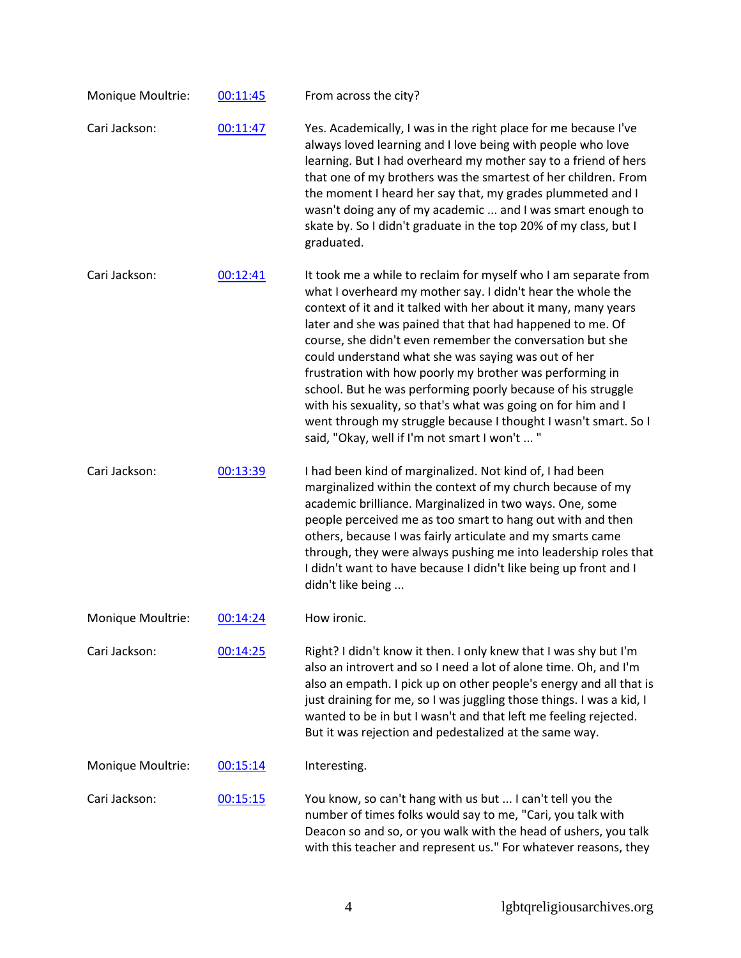| Monique Moultrie: | 00:11:45 | From across the city?                                                                                                                                                                                                                                                                                                                                                                                                                                                                                                                                                                                                                                                                              |
|-------------------|----------|----------------------------------------------------------------------------------------------------------------------------------------------------------------------------------------------------------------------------------------------------------------------------------------------------------------------------------------------------------------------------------------------------------------------------------------------------------------------------------------------------------------------------------------------------------------------------------------------------------------------------------------------------------------------------------------------------|
| Cari Jackson:     | 00:11:47 | Yes. Academically, I was in the right place for me because I've<br>always loved learning and I love being with people who love<br>learning. But I had overheard my mother say to a friend of hers<br>that one of my brothers was the smartest of her children. From<br>the moment I heard her say that, my grades plummeted and I<br>wasn't doing any of my academic  and I was smart enough to<br>skate by. So I didn't graduate in the top 20% of my class, but I<br>graduated.                                                                                                                                                                                                                  |
| Cari Jackson:     | 00:12:41 | It took me a while to reclaim for myself who I am separate from<br>what I overheard my mother say. I didn't hear the whole the<br>context of it and it talked with her about it many, many years<br>later and she was pained that that had happened to me. Of<br>course, she didn't even remember the conversation but she<br>could understand what she was saying was out of her<br>frustration with how poorly my brother was performing in<br>school. But he was performing poorly because of his struggle<br>with his sexuality, so that's what was going on for him and I<br>went through my struggle because I thought I wasn't smart. So I<br>said, "Okay, well if I'm not smart I won't  " |
| Cari Jackson:     | 00:13:39 | I had been kind of marginalized. Not kind of, I had been<br>marginalized within the context of my church because of my<br>academic brilliance. Marginalized in two ways. One, some<br>people perceived me as too smart to hang out with and then<br>others, because I was fairly articulate and my smarts came<br>through, they were always pushing me into leadership roles that<br>I didn't want to have because I didn't like being up front and I<br>didn't like being                                                                                                                                                                                                                         |
| Monique Moultrie: | 00:14:24 | How ironic.                                                                                                                                                                                                                                                                                                                                                                                                                                                                                                                                                                                                                                                                                        |
| Cari Jackson:     | 00:14:25 | Right? I didn't know it then. I only knew that I was shy but I'm<br>also an introvert and so I need a lot of alone time. Oh, and I'm<br>also an empath. I pick up on other people's energy and all that is<br>just draining for me, so I was juggling those things. I was a kid, I<br>wanted to be in but I wasn't and that left me feeling rejected.<br>But it was rejection and pedestalized at the same way.                                                                                                                                                                                                                                                                                    |
| Monique Moultrie: | 00:15:14 | Interesting.                                                                                                                                                                                                                                                                                                                                                                                                                                                                                                                                                                                                                                                                                       |
| Cari Jackson:     | 00:15:15 | You know, so can't hang with us but  I can't tell you the<br>number of times folks would say to me, "Cari, you talk with<br>Deacon so and so, or you walk with the head of ushers, you talk<br>with this teacher and represent us." For whatever reasons, they                                                                                                                                                                                                                                                                                                                                                                                                                                     |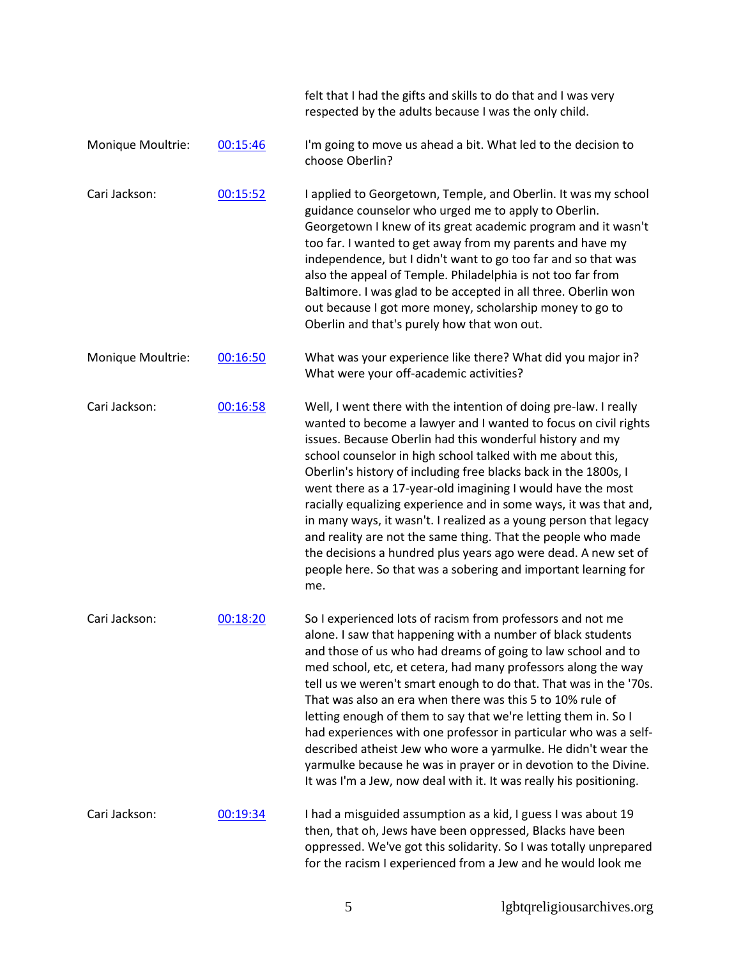|                   |          | felt that I had the gifts and skills to do that and I was very<br>respected by the adults because I was the only child.                                                                                                                                                                                                                                                                                                                                                                                                                                                                                                                                                                                                                               |
|-------------------|----------|-------------------------------------------------------------------------------------------------------------------------------------------------------------------------------------------------------------------------------------------------------------------------------------------------------------------------------------------------------------------------------------------------------------------------------------------------------------------------------------------------------------------------------------------------------------------------------------------------------------------------------------------------------------------------------------------------------------------------------------------------------|
| Monique Moultrie: | 00:15:46 | I'm going to move us ahead a bit. What led to the decision to<br>choose Oberlin?                                                                                                                                                                                                                                                                                                                                                                                                                                                                                                                                                                                                                                                                      |
| Cari Jackson:     | 00:15:52 | I applied to Georgetown, Temple, and Oberlin. It was my school<br>guidance counselor who urged me to apply to Oberlin.<br>Georgetown I knew of its great academic program and it wasn't<br>too far. I wanted to get away from my parents and have my<br>independence, but I didn't want to go too far and so that was<br>also the appeal of Temple. Philadelphia is not too far from<br>Baltimore. I was glad to be accepted in all three. Oberlin won<br>out because I got more money, scholarship money to go to<br>Oberlin and that's purely how that won out.                                                                                                                                                                                     |
| Monique Moultrie: | 00:16:50 | What was your experience like there? What did you major in?<br>What were your off-academic activities?                                                                                                                                                                                                                                                                                                                                                                                                                                                                                                                                                                                                                                                |
| Cari Jackson:     | 00:16:58 | Well, I went there with the intention of doing pre-law. I really<br>wanted to become a lawyer and I wanted to focus on civil rights<br>issues. Because Oberlin had this wonderful history and my<br>school counselor in high school talked with me about this,<br>Oberlin's history of including free blacks back in the 1800s, I<br>went there as a 17-year-old imagining I would have the most<br>racially equalizing experience and in some ways, it was that and,<br>in many ways, it wasn't. I realized as a young person that legacy<br>and reality are not the same thing. That the people who made<br>the decisions a hundred plus years ago were dead. A new set of<br>people here. So that was a sobering and important learning for<br>me. |
| Cari Jackson:     | 00:18:20 | So I experienced lots of racism from professors and not me<br>alone. I saw that happening with a number of black students<br>and those of us who had dreams of going to law school and to<br>med school, etc, et cetera, had many professors along the way<br>tell us we weren't smart enough to do that. That was in the '70s.<br>That was also an era when there was this 5 to 10% rule of<br>letting enough of them to say that we're letting them in. So I<br>had experiences with one professor in particular who was a self-<br>described atheist Jew who wore a yarmulke. He didn't wear the<br>yarmulke because he was in prayer or in devotion to the Divine.<br>It was I'm a Jew, now deal with it. It was really his positioning.          |
| Cari Jackson:     | 00:19:34 | I had a misguided assumption as a kid, I guess I was about 19<br>then, that oh, Jews have been oppressed, Blacks have been<br>oppressed. We've got this solidarity. So I was totally unprepared<br>for the racism I experienced from a Jew and he would look me                                                                                                                                                                                                                                                                                                                                                                                                                                                                                       |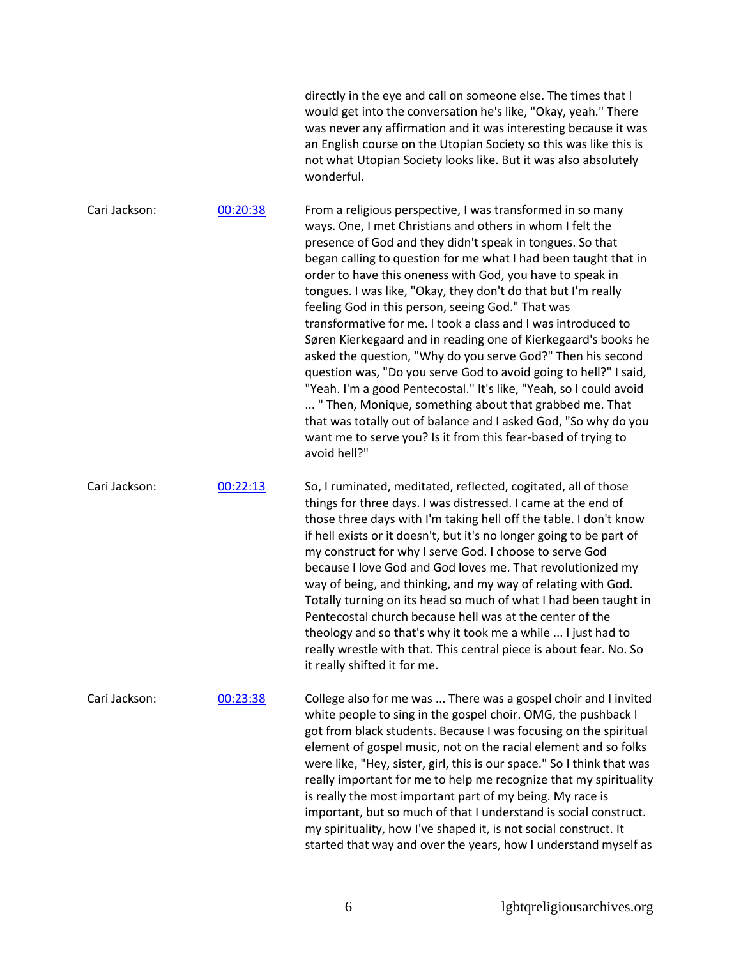|               |          | directly in the eye and call on someone else. The times that I<br>would get into the conversation he's like, "Okay, yeah." There<br>was never any affirmation and it was interesting because it was<br>an English course on the Utopian Society so this was like this is<br>not what Utopian Society looks like. But it was also absolutely<br>wonderful.                                                                                                                                                                                                                                                                                                                                                                                                                                                                                                                                                                                                                                            |
|---------------|----------|------------------------------------------------------------------------------------------------------------------------------------------------------------------------------------------------------------------------------------------------------------------------------------------------------------------------------------------------------------------------------------------------------------------------------------------------------------------------------------------------------------------------------------------------------------------------------------------------------------------------------------------------------------------------------------------------------------------------------------------------------------------------------------------------------------------------------------------------------------------------------------------------------------------------------------------------------------------------------------------------------|
| Cari Jackson: | 00:20:38 | From a religious perspective, I was transformed in so many<br>ways. One, I met Christians and others in whom I felt the<br>presence of God and they didn't speak in tongues. So that<br>began calling to question for me what I had been taught that in<br>order to have this oneness with God, you have to speak in<br>tongues. I was like, "Okay, they don't do that but I'm really<br>feeling God in this person, seeing God." That was<br>transformative for me. I took a class and I was introduced to<br>Søren Kierkegaard and in reading one of Kierkegaard's books he<br>asked the question, "Why do you serve God?" Then his second<br>question was, "Do you serve God to avoid going to hell?" I said,<br>"Yeah. I'm a good Pentecostal." It's like, "Yeah, so I could avoid<br>" Then, Monique, something about that grabbed me. That<br>that was totally out of balance and I asked God, "So why do you<br>want me to serve you? Is it from this fear-based of trying to<br>avoid hell?" |
| Cari Jackson: | 00:22:13 | So, I ruminated, meditated, reflected, cogitated, all of those<br>things for three days. I was distressed. I came at the end of<br>those three days with I'm taking hell off the table. I don't know<br>if hell exists or it doesn't, but it's no longer going to be part of<br>my construct for why I serve God. I choose to serve God<br>because I love God and God loves me. That revolutionized my<br>way of being, and thinking, and my way of relating with God.<br>Totally turning on its head so much of what I had been taught in<br>Pentecostal church because hell was at the center of the<br>theology and so that's why it took me a while  I just had to<br>really wrestle with that. This central piece is about fear. No. So<br>it really shifted it for me.                                                                                                                                                                                                                         |
| Cari Jackson: | 00:23:38 | College also for me was  There was a gospel choir and I invited<br>white people to sing in the gospel choir. OMG, the pushback I<br>got from black students. Because I was focusing on the spiritual<br>element of gospel music, not on the racial element and so folks<br>were like, "Hey, sister, girl, this is our space." So I think that was<br>really important for me to help me recognize that my spirituality<br>is really the most important part of my being. My race is<br>important, but so much of that I understand is social construct.<br>my spirituality, how I've shaped it, is not social construct. It<br>started that way and over the years, how I understand myself as                                                                                                                                                                                                                                                                                                       |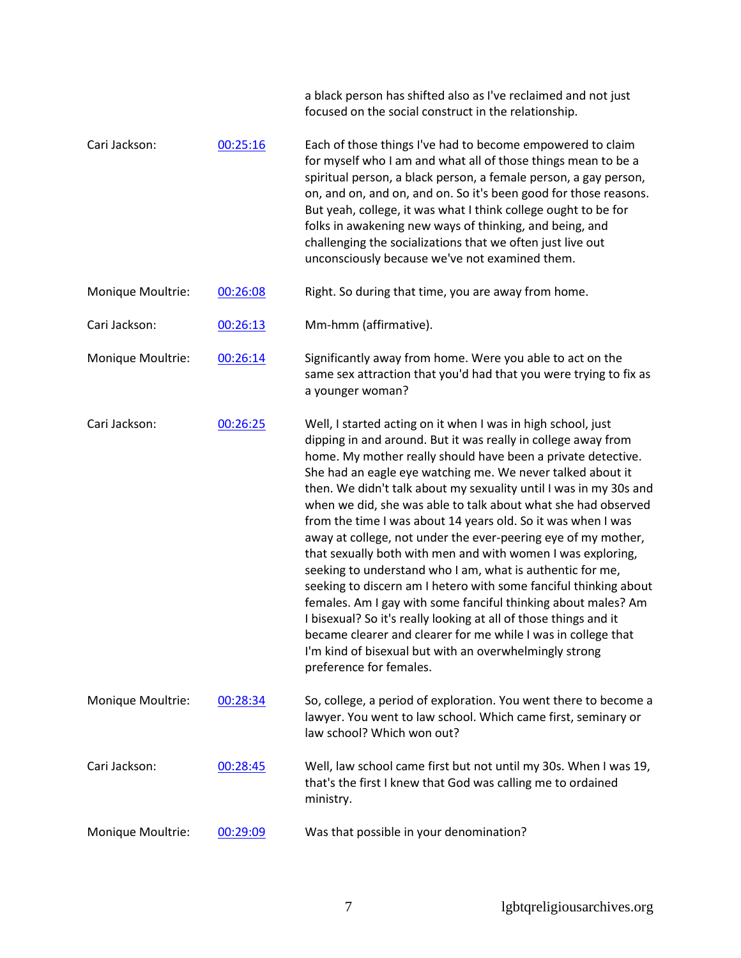|                   |          | a black person has shifted also as I've reclaimed and not just<br>focused on the social construct in the relationship.                                                                                                                                                                                                                                                                                                                                                                                                                                                                                                                                                                                                                                                                                                                                                                                                                                                                                                        |
|-------------------|----------|-------------------------------------------------------------------------------------------------------------------------------------------------------------------------------------------------------------------------------------------------------------------------------------------------------------------------------------------------------------------------------------------------------------------------------------------------------------------------------------------------------------------------------------------------------------------------------------------------------------------------------------------------------------------------------------------------------------------------------------------------------------------------------------------------------------------------------------------------------------------------------------------------------------------------------------------------------------------------------------------------------------------------------|
| Cari Jackson:     | 00:25:16 | Each of those things I've had to become empowered to claim<br>for myself who I am and what all of those things mean to be a<br>spiritual person, a black person, a female person, a gay person,<br>on, and on, and on, and on. So it's been good for those reasons.<br>But yeah, college, it was what I think college ought to be for<br>folks in awakening new ways of thinking, and being, and<br>challenging the socializations that we often just live out<br>unconsciously because we've not examined them.                                                                                                                                                                                                                                                                                                                                                                                                                                                                                                              |
| Monique Moultrie: | 00:26:08 | Right. So during that time, you are away from home.                                                                                                                                                                                                                                                                                                                                                                                                                                                                                                                                                                                                                                                                                                                                                                                                                                                                                                                                                                           |
| Cari Jackson:     | 00:26:13 | Mm-hmm (affirmative).                                                                                                                                                                                                                                                                                                                                                                                                                                                                                                                                                                                                                                                                                                                                                                                                                                                                                                                                                                                                         |
| Monique Moultrie: | 00:26:14 | Significantly away from home. Were you able to act on the<br>same sex attraction that you'd had that you were trying to fix as<br>a younger woman?                                                                                                                                                                                                                                                                                                                                                                                                                                                                                                                                                                                                                                                                                                                                                                                                                                                                            |
| Cari Jackson:     | 00:26:25 | Well, I started acting on it when I was in high school, just<br>dipping in and around. But it was really in college away from<br>home. My mother really should have been a private detective.<br>She had an eagle eye watching me. We never talked about it<br>then. We didn't talk about my sexuality until I was in my 30s and<br>when we did, she was able to talk about what she had observed<br>from the time I was about 14 years old. So it was when I was<br>away at college, not under the ever-peering eye of my mother,<br>that sexually both with men and with women I was exploring,<br>seeking to understand who I am, what is authentic for me,<br>seeking to discern am I hetero with some fanciful thinking about<br>females. Am I gay with some fanciful thinking about males? Am<br>I bisexual? So it's really looking at all of those things and it<br>became clearer and clearer for me while I was in college that<br>I'm kind of bisexual but with an overwhelmingly strong<br>preference for females. |
| Monique Moultrie: | 00:28:34 | So, college, a period of exploration. You went there to become a<br>lawyer. You went to law school. Which came first, seminary or<br>law school? Which won out?                                                                                                                                                                                                                                                                                                                                                                                                                                                                                                                                                                                                                                                                                                                                                                                                                                                               |
| Cari Jackson:     | 00:28:45 | Well, law school came first but not until my 30s. When I was 19,<br>that's the first I knew that God was calling me to ordained<br>ministry.                                                                                                                                                                                                                                                                                                                                                                                                                                                                                                                                                                                                                                                                                                                                                                                                                                                                                  |
| Monique Moultrie: | 00:29:09 | Was that possible in your denomination?                                                                                                                                                                                                                                                                                                                                                                                                                                                                                                                                                                                                                                                                                                                                                                                                                                                                                                                                                                                       |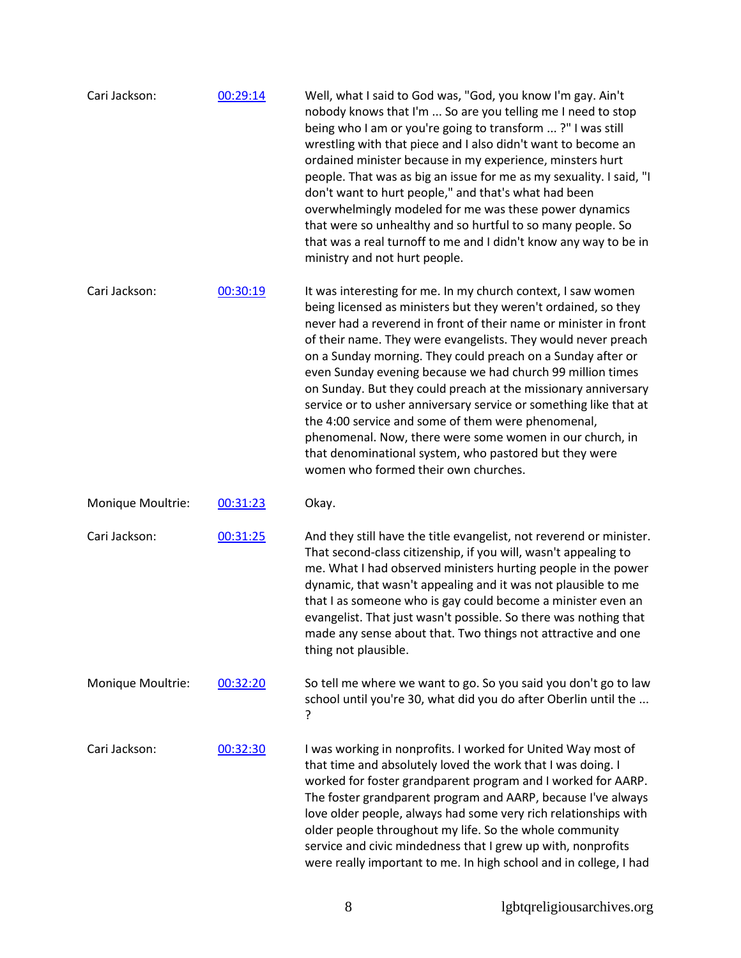| Cari Jackson:     | 00:29:14 | Well, what I said to God was, "God, you know I'm gay. Ain't<br>nobody knows that I'm  So are you telling me I need to stop<br>being who I am or you're going to transform ?" I was still<br>wrestling with that piece and I also didn't want to become an<br>ordained minister because in my experience, minsters hurt<br>people. That was as big an issue for me as my sexuality. I said, "I<br>don't want to hurt people," and that's what had been<br>overwhelmingly modeled for me was these power dynamics<br>that were so unhealthy and so hurtful to so many people. So<br>that was a real turnoff to me and I didn't know any way to be in<br>ministry and not hurt people.                                                                         |
|-------------------|----------|-------------------------------------------------------------------------------------------------------------------------------------------------------------------------------------------------------------------------------------------------------------------------------------------------------------------------------------------------------------------------------------------------------------------------------------------------------------------------------------------------------------------------------------------------------------------------------------------------------------------------------------------------------------------------------------------------------------------------------------------------------------|
| Cari Jackson:     | 00:30:19 | It was interesting for me. In my church context, I saw women<br>being licensed as ministers but they weren't ordained, so they<br>never had a reverend in front of their name or minister in front<br>of their name. They were evangelists. They would never preach<br>on a Sunday morning. They could preach on a Sunday after or<br>even Sunday evening because we had church 99 million times<br>on Sunday. But they could preach at the missionary anniversary<br>service or to usher anniversary service or something like that at<br>the 4:00 service and some of them were phenomenal,<br>phenomenal. Now, there were some women in our church, in<br>that denominational system, who pastored but they were<br>women who formed their own churches. |
| Monique Moultrie: | 00:31:23 | Okay.                                                                                                                                                                                                                                                                                                                                                                                                                                                                                                                                                                                                                                                                                                                                                       |
| Cari Jackson:     | 00:31:25 | And they still have the title evangelist, not reverend or minister.<br>That second-class citizenship, if you will, wasn't appealing to<br>me. What I had observed ministers hurting people in the power<br>dynamic, that wasn't appealing and it was not plausible to me<br>that I as someone who is gay could become a minister even an<br>evangelist. That just wasn't possible. So there was nothing that<br>made any sense about that. Two things not attractive and one<br>thing not plausible.                                                                                                                                                                                                                                                        |
| Monique Moultrie: | 00:32:20 | So tell me where we want to go. So you said you don't go to law<br>school until you're 30, what did you do after Oberlin until the<br>?                                                                                                                                                                                                                                                                                                                                                                                                                                                                                                                                                                                                                     |
| Cari Jackson:     | 00:32:30 | I was working in nonprofits. I worked for United Way most of<br>that time and absolutely loved the work that I was doing. I<br>worked for foster grandparent program and I worked for AARP.<br>The foster grandparent program and AARP, because I've always<br>love older people, always had some very rich relationships with<br>older people throughout my life. So the whole community<br>service and civic mindedness that I grew up with, nonprofits<br>were really important to me. In high school and in college, I had                                                                                                                                                                                                                              |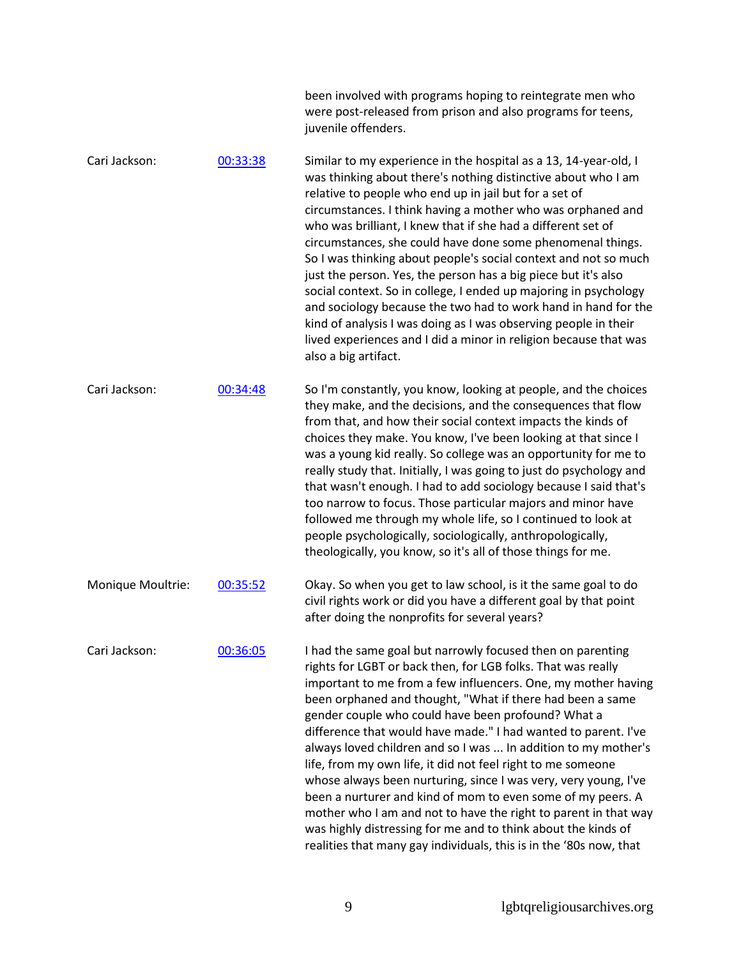|                   |          | been involved with programs hoping to reintegrate men who<br>were post-released from prison and also programs for teens,<br>juvenile offenders.                                                                                                                                                                                                                                                                                                                                                                                                                                                                                                                                                                                                                                                                                                               |
|-------------------|----------|---------------------------------------------------------------------------------------------------------------------------------------------------------------------------------------------------------------------------------------------------------------------------------------------------------------------------------------------------------------------------------------------------------------------------------------------------------------------------------------------------------------------------------------------------------------------------------------------------------------------------------------------------------------------------------------------------------------------------------------------------------------------------------------------------------------------------------------------------------------|
| Cari Jackson:     | 00:33:38 | Similar to my experience in the hospital as a 13, 14-year-old, I<br>was thinking about there's nothing distinctive about who I am<br>relative to people who end up in jail but for a set of<br>circumstances. I think having a mother who was orphaned and<br>who was brilliant, I knew that if she had a different set of<br>circumstances, she could have done some phenomenal things.<br>So I was thinking about people's social context and not so much<br>just the person. Yes, the person has a big piece but it's also<br>social context. So in college, I ended up majoring in psychology<br>and sociology because the two had to work hand in hand for the<br>kind of analysis I was doing as I was observing people in their<br>lived experiences and I did a minor in religion because that was<br>also a big artifact.                            |
| Cari Jackson:     | 00:34:48 | So I'm constantly, you know, looking at people, and the choices<br>they make, and the decisions, and the consequences that flow<br>from that, and how their social context impacts the kinds of<br>choices they make. You know, I've been looking at that since I<br>was a young kid really. So college was an opportunity for me to<br>really study that. Initially, I was going to just do psychology and<br>that wasn't enough. I had to add sociology because I said that's<br>too narrow to focus. Those particular majors and minor have<br>followed me through my whole life, so I continued to look at<br>people psychologically, sociologically, anthropologically,<br>theologically, you know, so it's all of those things for me.                                                                                                                  |
| Monique Moultrie: | 00:35:52 | Okay. So when you get to law school, is it the same goal to do<br>civil rights work or did you have a different goal by that point<br>after doing the nonprofits for several years?                                                                                                                                                                                                                                                                                                                                                                                                                                                                                                                                                                                                                                                                           |
| Cari Jackson:     | 00:36:05 | I had the same goal but narrowly focused then on parenting<br>rights for LGBT or back then, for LGB folks. That was really<br>important to me from a few influencers. One, my mother having<br>been orphaned and thought, "What if there had been a same<br>gender couple who could have been profound? What a<br>difference that would have made." I had wanted to parent. I've<br>always loved children and so I was  In addition to my mother's<br>life, from my own life, it did not feel right to me someone<br>whose always been nurturing, since I was very, very young, I've<br>been a nurturer and kind of mom to even some of my peers. A<br>mother who I am and not to have the right to parent in that way<br>was highly distressing for me and to think about the kinds of<br>realities that many gay individuals, this is in the '80s now, that |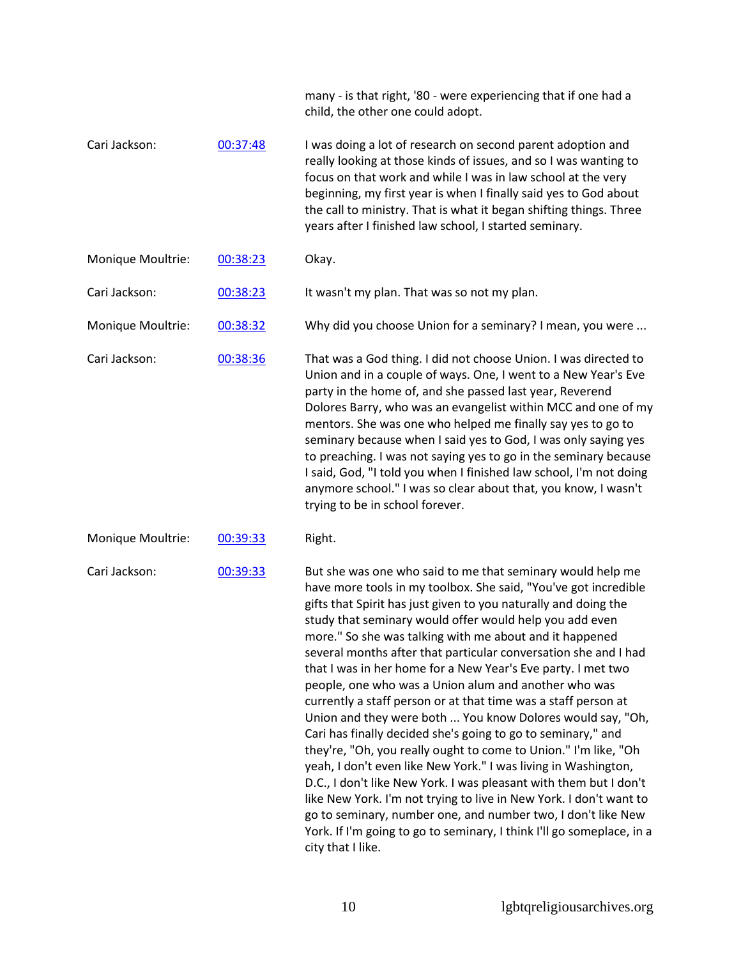|                   |          | many - is that right, '80 - were experiencing that if one had a<br>child, the other one could adopt.                                                                                                                                                                                                                                                                                                                                                                                                                                                                                                                                                                                                                                                                                                                                                                                                                                                                                                                                                                                                                                                            |
|-------------------|----------|-----------------------------------------------------------------------------------------------------------------------------------------------------------------------------------------------------------------------------------------------------------------------------------------------------------------------------------------------------------------------------------------------------------------------------------------------------------------------------------------------------------------------------------------------------------------------------------------------------------------------------------------------------------------------------------------------------------------------------------------------------------------------------------------------------------------------------------------------------------------------------------------------------------------------------------------------------------------------------------------------------------------------------------------------------------------------------------------------------------------------------------------------------------------|
| Cari Jackson:     | 00:37:48 | I was doing a lot of research on second parent adoption and<br>really looking at those kinds of issues, and so I was wanting to<br>focus on that work and while I was in law school at the very<br>beginning, my first year is when I finally said yes to God about<br>the call to ministry. That is what it began shifting things. Three<br>years after I finished law school, I started seminary.                                                                                                                                                                                                                                                                                                                                                                                                                                                                                                                                                                                                                                                                                                                                                             |
| Monique Moultrie: | 00:38:23 | Okay.                                                                                                                                                                                                                                                                                                                                                                                                                                                                                                                                                                                                                                                                                                                                                                                                                                                                                                                                                                                                                                                                                                                                                           |
| Cari Jackson:     | 00:38:23 | It wasn't my plan. That was so not my plan.                                                                                                                                                                                                                                                                                                                                                                                                                                                                                                                                                                                                                                                                                                                                                                                                                                                                                                                                                                                                                                                                                                                     |
| Monique Moultrie: | 00:38:32 | Why did you choose Union for a seminary? I mean, you were                                                                                                                                                                                                                                                                                                                                                                                                                                                                                                                                                                                                                                                                                                                                                                                                                                                                                                                                                                                                                                                                                                       |
| Cari Jackson:     | 00:38:36 | That was a God thing. I did not choose Union. I was directed to<br>Union and in a couple of ways. One, I went to a New Year's Eve<br>party in the home of, and she passed last year, Reverend<br>Dolores Barry, who was an evangelist within MCC and one of my<br>mentors. She was one who helped me finally say yes to go to<br>seminary because when I said yes to God, I was only saying yes<br>to preaching. I was not saying yes to go in the seminary because<br>I said, God, "I told you when I finished law school, I'm not doing<br>anymore school." I was so clear about that, you know, I wasn't<br>trying to be in school forever.                                                                                                                                                                                                                                                                                                                                                                                                                                                                                                                  |
| Monique Moultrie: | 00:39:33 | Right.                                                                                                                                                                                                                                                                                                                                                                                                                                                                                                                                                                                                                                                                                                                                                                                                                                                                                                                                                                                                                                                                                                                                                          |
| Cari Jackson:     | 00:39:33 | But she was one who said to me that seminary would help me<br>have more tools in my toolbox. She said, "You've got incredible<br>gifts that Spirit has just given to you naturally and doing the<br>study that seminary would offer would help you add even<br>more." So she was talking with me about and it happened<br>several months after that particular conversation she and I had<br>that I was in her home for a New Year's Eve party. I met two<br>people, one who was a Union alum and another who was<br>currently a staff person or at that time was a staff person at<br>Union and they were both  You know Dolores would say, "Oh,<br>Cari has finally decided she's going to go to seminary," and<br>they're, "Oh, you really ought to come to Union." I'm like, "Oh<br>yeah, I don't even like New York." I was living in Washington,<br>D.C., I don't like New York. I was pleasant with them but I don't<br>like New York. I'm not trying to live in New York. I don't want to<br>go to seminary, number one, and number two, I don't like New<br>York. If I'm going to go to seminary, I think I'll go someplace, in a<br>city that I like. |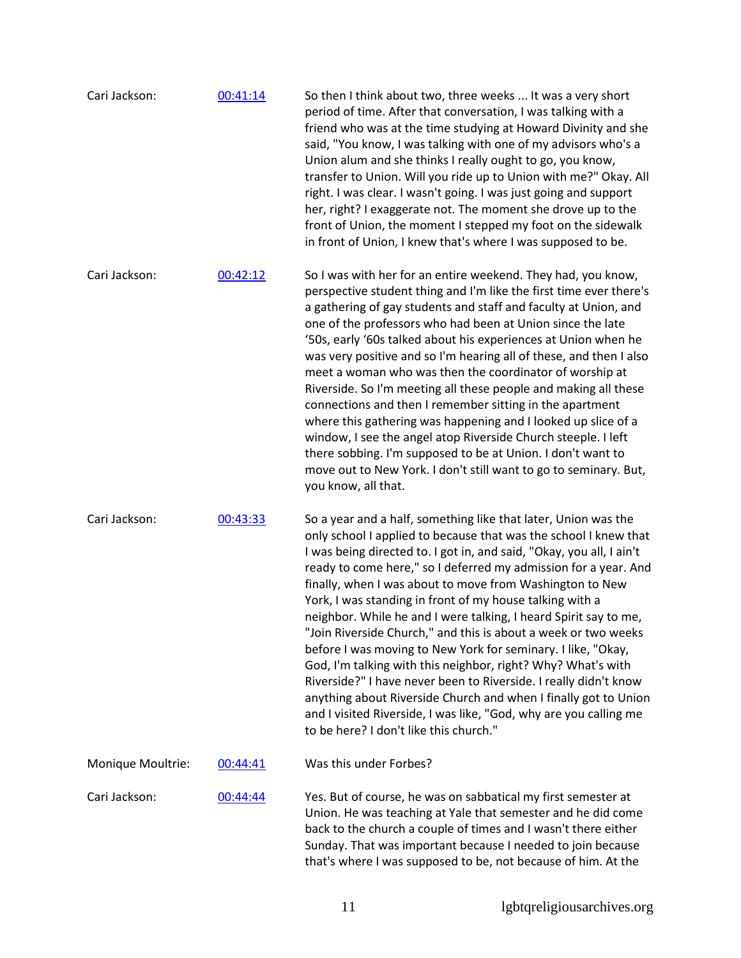| Cari Jackson:     | 00:41:14 | So then I think about two, three weeks  It was a very short<br>period of time. After that conversation, I was talking with a<br>friend who was at the time studying at Howard Divinity and she<br>said, "You know, I was talking with one of my advisors who's a<br>Union alum and she thinks I really ought to go, you know,<br>transfer to Union. Will you ride up to Union with me?" Okay. All<br>right. I was clear. I wasn't going. I was just going and support<br>her, right? I exaggerate not. The moment she drove up to the<br>front of Union, the moment I stepped my foot on the sidewalk<br>in front of Union, I knew that's where I was supposed to be.                                                                                                                                                                                                                                                             |
|-------------------|----------|-----------------------------------------------------------------------------------------------------------------------------------------------------------------------------------------------------------------------------------------------------------------------------------------------------------------------------------------------------------------------------------------------------------------------------------------------------------------------------------------------------------------------------------------------------------------------------------------------------------------------------------------------------------------------------------------------------------------------------------------------------------------------------------------------------------------------------------------------------------------------------------------------------------------------------------|
| Cari Jackson:     | 00:42:12 | So I was with her for an entire weekend. They had, you know,<br>perspective student thing and I'm like the first time ever there's<br>a gathering of gay students and staff and faculty at Union, and<br>one of the professors who had been at Union since the late<br>'50s, early '60s talked about his experiences at Union when he<br>was very positive and so I'm hearing all of these, and then I also<br>meet a woman who was then the coordinator of worship at<br>Riverside. So I'm meeting all these people and making all these<br>connections and then I remember sitting in the apartment<br>where this gathering was happening and I looked up slice of a<br>window, I see the angel atop Riverside Church steeple. I left<br>there sobbing. I'm supposed to be at Union. I don't want to<br>move out to New York. I don't still want to go to seminary. But,<br>you know, all that.                                 |
| Cari Jackson:     | 00:43:33 | So a year and a half, something like that later, Union was the<br>only school I applied to because that was the school I knew that<br>I was being directed to. I got in, and said, "Okay, you all, I ain't<br>ready to come here," so I deferred my admission for a year. And<br>finally, when I was about to move from Washington to New<br>York, I was standing in front of my house talking with a<br>neighbor. While he and I were talking, I heard Spirit say to me,<br>"Join Riverside Church," and this is about a week or two weeks<br>before I was moving to New York for seminary. I like, "Okay,<br>God, I'm talking with this neighbor, right? Why? What's with<br>Riverside?" I have never been to Riverside. I really didn't know<br>anything about Riverside Church and when I finally got to Union<br>and I visited Riverside, I was like, "God, why are you calling me<br>to be here? I don't like this church." |
| Monique Moultrie: | 00:44:41 | Was this under Forbes?                                                                                                                                                                                                                                                                                                                                                                                                                                                                                                                                                                                                                                                                                                                                                                                                                                                                                                            |
| Cari Jackson:     | 00:44:44 | Yes. But of course, he was on sabbatical my first semester at<br>Union. He was teaching at Yale that semester and he did come<br>back to the church a couple of times and I wasn't there either<br>Sunday. That was important because I needed to join because<br>that's where I was supposed to be, not because of him. At the                                                                                                                                                                                                                                                                                                                                                                                                                                                                                                                                                                                                   |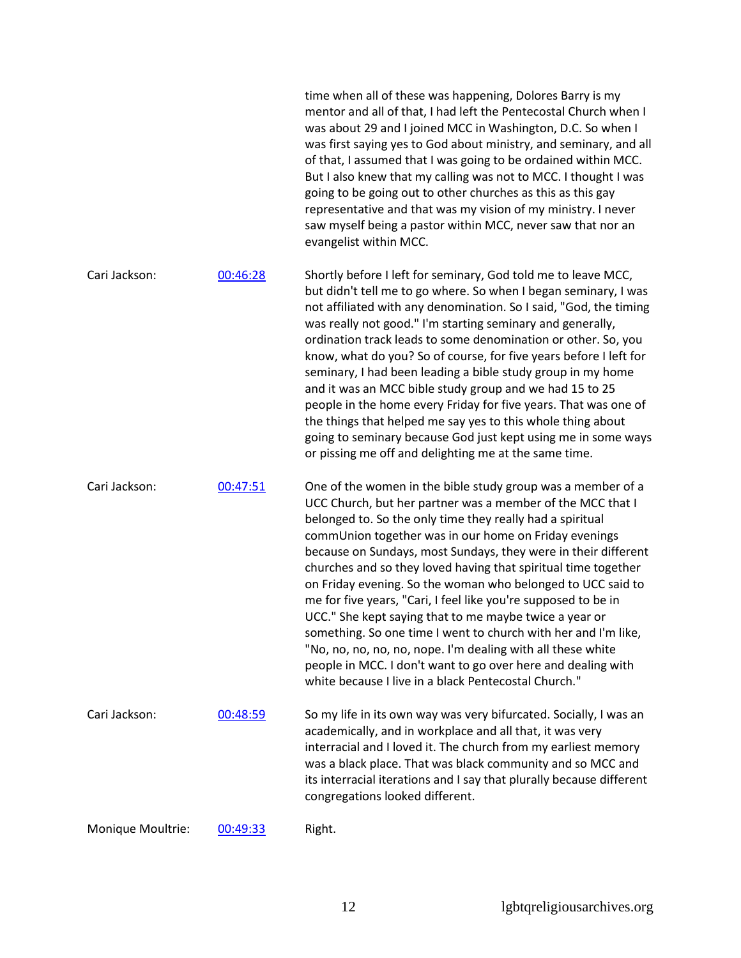|                   |          | mentor and all of that, I had left the Pentecostal Church when I<br>was about 29 and I joined MCC in Washington, D.C. So when I<br>was first saying yes to God about ministry, and seminary, and all<br>of that, I assumed that I was going to be ordained within MCC.<br>But I also knew that my calling was not to MCC. I thought I was<br>going to be going out to other churches as this as this gay<br>representative and that was my vision of my ministry. I never<br>saw myself being a pastor within MCC, never saw that nor an<br>evangelist within MCC.                                                                                                                                                                                                                                                                      |
|-------------------|----------|-----------------------------------------------------------------------------------------------------------------------------------------------------------------------------------------------------------------------------------------------------------------------------------------------------------------------------------------------------------------------------------------------------------------------------------------------------------------------------------------------------------------------------------------------------------------------------------------------------------------------------------------------------------------------------------------------------------------------------------------------------------------------------------------------------------------------------------------|
| Cari Jackson:     | 00:46:28 | Shortly before I left for seminary, God told me to leave MCC,<br>but didn't tell me to go where. So when I began seminary, I was<br>not affiliated with any denomination. So I said, "God, the timing<br>was really not good." I'm starting seminary and generally,<br>ordination track leads to some denomination or other. So, you<br>know, what do you? So of course, for five years before I left for<br>seminary, I had been leading a bible study group in my home<br>and it was an MCC bible study group and we had 15 to 25<br>people in the home every Friday for five years. That was one of<br>the things that helped me say yes to this whole thing about<br>going to seminary because God just kept using me in some ways<br>or pissing me off and delighting me at the same time.                                         |
| Cari Jackson:     | 00:47:51 | One of the women in the bible study group was a member of a<br>UCC Church, but her partner was a member of the MCC that I<br>belonged to. So the only time they really had a spiritual<br>commUnion together was in our home on Friday evenings<br>because on Sundays, most Sundays, they were in their different<br>churches and so they loved having that spiritual time together<br>on Friday evening. So the woman who belonged to UCC said to<br>me for five years, "Cari, I feel like you're supposed to be in<br>UCC." She kept saying that to me maybe twice a year or<br>something. So one time I went to church with her and I'm like,<br>"No, no, no, no, no, nope. I'm dealing with all these white<br>people in MCC. I don't want to go over here and dealing with<br>white because I live in a black Pentecostal Church." |
| Cari Jackson:     | 00:48:59 | So my life in its own way was very bifurcated. Socially, I was an<br>academically, and in workplace and all that, it was very<br>interracial and I loved it. The church from my earliest memory<br>was a black place. That was black community and so MCC and<br>its interracial iterations and I say that plurally because different<br>congregations looked different.                                                                                                                                                                                                                                                                                                                                                                                                                                                                |
| Monique Moultrie: | 00:49:33 | Right.                                                                                                                                                                                                                                                                                                                                                                                                                                                                                                                                                                                                                                                                                                                                                                                                                                  |

time when all of these was happening, Dolores Barry is my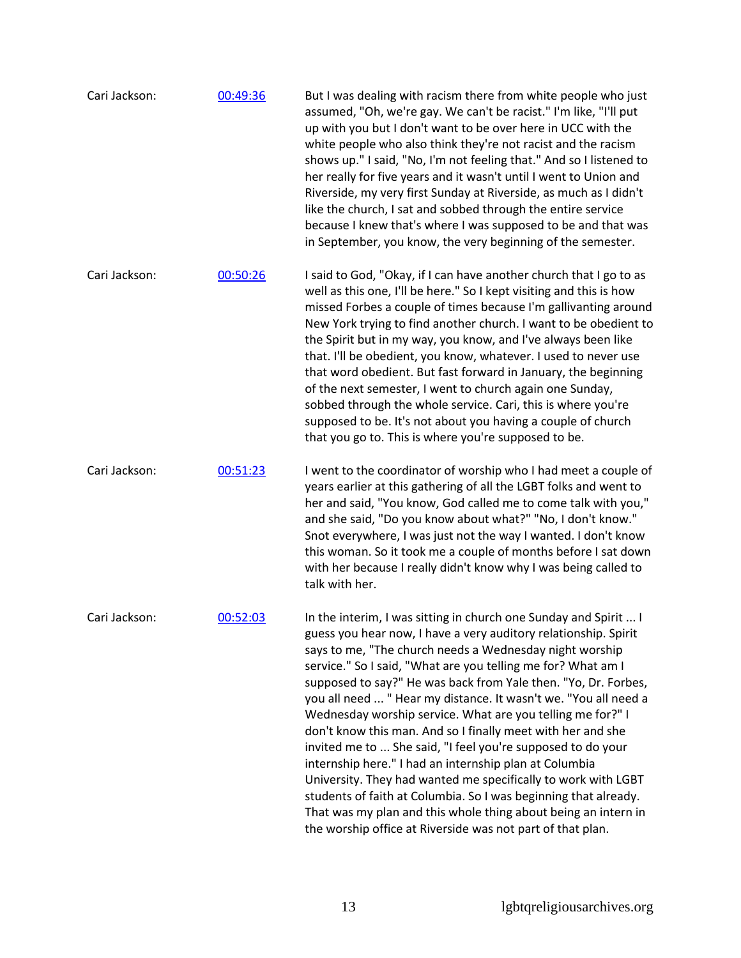Cari Jackson: [00:49:36](https://www.rev.com/transcript-editor/Edit?token=kGelcjonbbXmgNfGmMSU-R6wXt3xH8rKw7dBeVzvdXNi3BWx1N37nM_LtJpO0lBI39zX9Cdo01JgjItk0FALhluEcfA&loadFrom=DocumentDeeplink&ts=2976.2) But I was dealing with racism there from white people who just assumed, "Oh, we're gay. We can't be racist." I'm like, "I'll put up with you but I don't want to be over here in UCC with the white people who also think they're not racist and the racism shows up." I said, "No, I'm not feeling that." And so I listened to her really for five years and it wasn't until I went to Union and Riverside, my very first Sunday at Riverside, as much as I didn't like the church, I sat and sobbed through the entire service because I knew that's where I was supposed to be and that was in September, you know, the very beginning of the semester. Cari Jackson: [00:50:26](https://www.rev.com/transcript-editor/Edit?token=kIQ1rE5zIZQMDaH24lkscx-wOjz3IC0fmTWCz3Y-msAUeGaRBsmYOVULV_QZUgHucT1wf84hfPvs__C2jF0lO4sMYIA&loadFrom=DocumentDeeplink&ts=3026.83) I said to God, "Okay, if I can have another church that I go to as well as this one, I'll be here." So I kept visiting and this is how missed Forbes a couple of times because I'm gallivanting around New York trying to find another church. I want to be obedient to the Spirit but in my way, you know, and I've always been like that. I'll be obedient, you know, whatever. I used to never use that word obedient. But fast forward in January, the beginning of the next semester, I went to church again one Sunday, sobbed through the whole service. Cari, this is where you're supposed to be. It's not about you having a couple of church that you go to. This is where you're supposed to be. Cari Jackson: [00:51:23](https://www.rev.com/transcript-editor/Edit?token=SMGGPja3r_oIIQKh1Oy0pxtJoXA06j0toEatG5kNpgb-UhK8vj5kgagQpXUxbOP_rf8Xx4yMGqSMCotpWUnUFX16Udc&loadFrom=DocumentDeeplink&ts=3083.37) I went to the coordinator of worship who I had meet a couple of years earlier at this gathering of all the LGBT folks and went to her and said, "You know, God called me to come talk with you," and she said, "Do you know about what?" "No, I don't know." Snot everywhere, I was just not the way I wanted. I don't know this woman. So it took me a couple of months before I sat down with her because I really didn't know why I was being called to talk with her. Cari Jackson: [00:52:03](https://www.rev.com/transcript-editor/Edit?token=1RwssUKYHTiMZ6Hv7cx-RfsTadPIPmzzVz_yNlWd2WpCY0pAUVwwAVB5mH8YCJwN0fY8oWyQ_qdp6zrNfj6Ac1kMZPQ&loadFrom=DocumentDeeplink&ts=3123.24) In the interim, I was sitting in church one Sunday and Spirit ... I guess you hear now, I have a very auditory relationship. Spirit says to me, "The church needs a Wednesday night worship service." So I said, "What are you telling me for? What am I supposed to say?" He was back from Yale then. "Yo, Dr. Forbes, you all need ... " Hear my distance. It wasn't we. "You all need a Wednesday worship service. What are you telling me for?" I don't know this man. And so I finally meet with her and she invited me to ... She said, "I feel you're supposed to do your internship here." I had an internship plan at Columbia University. They had wanted me specifically to work with LGBT students of faith at Columbia. So I was beginning that already. That was my plan and this whole thing about being an intern in the worship office at Riverside was not part of that plan.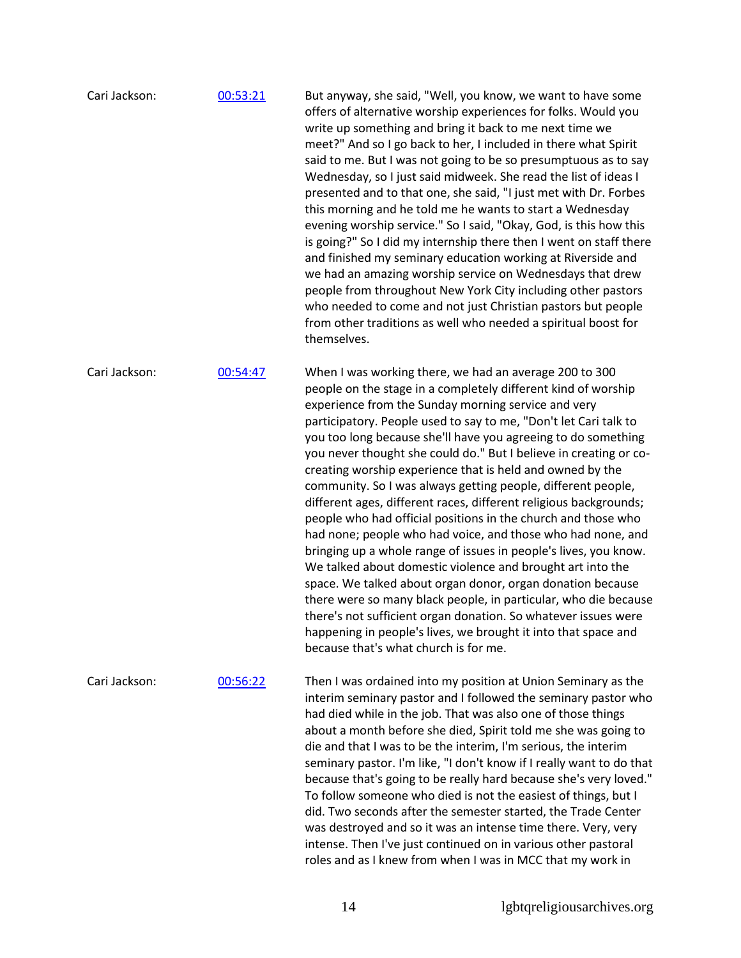| Cari Jackson: | 00:53:21 | But anyway, she said, "Well, you know, we want to have some<br>offers of alternative worship experiences for folks. Would you<br>write up something and bring it back to me next time we<br>meet?" And so I go back to her, I included in there what Spirit<br>said to me. But I was not going to be so presumptuous as to say<br>Wednesday, so I just said midweek. She read the list of ideas I<br>presented and to that one, she said, "I just met with Dr. Forbes<br>this morning and he told me he wants to start a Wednesday<br>evening worship service." So I said, "Okay, God, is this how this<br>is going?" So I did my internship there then I went on staff there<br>and finished my seminary education working at Riverside and<br>we had an amazing worship service on Wednesdays that drew<br>people from throughout New York City including other pastors<br>who needed to come and not just Christian pastors but people<br>from other traditions as well who needed a spiritual boost for<br>themselves.                                                                                                                                                 |
|---------------|----------|----------------------------------------------------------------------------------------------------------------------------------------------------------------------------------------------------------------------------------------------------------------------------------------------------------------------------------------------------------------------------------------------------------------------------------------------------------------------------------------------------------------------------------------------------------------------------------------------------------------------------------------------------------------------------------------------------------------------------------------------------------------------------------------------------------------------------------------------------------------------------------------------------------------------------------------------------------------------------------------------------------------------------------------------------------------------------------------------------------------------------------------------------------------------------|
| Cari Jackson: | 00:54:47 | When I was working there, we had an average 200 to 300<br>people on the stage in a completely different kind of worship<br>experience from the Sunday morning service and very<br>participatory. People used to say to me, "Don't let Cari talk to<br>you too long because she'll have you agreeing to do something<br>you never thought she could do." But I believe in creating or co-<br>creating worship experience that is held and owned by the<br>community. So I was always getting people, different people,<br>different ages, different races, different religious backgrounds;<br>people who had official positions in the church and those who<br>had none; people who had voice, and those who had none, and<br>bringing up a whole range of issues in people's lives, you know.<br>We talked about domestic violence and brought art into the<br>space. We talked about organ donor, organ donation because<br>there were so many black people, in particular, who die because<br>there's not sufficient organ donation. So whatever issues were<br>happening in people's lives, we brought it into that space and<br>because that's what church is for me. |
| Cari Jackson: | 00:56:22 | Then I was ordained into my position at Union Seminary as the<br>interim seminary pastor and I followed the seminary pastor who<br>had died while in the job. That was also one of those things<br>about a month before she died, Spirit told me she was going to<br>die and that I was to be the interim, I'm serious, the interim<br>seminary pastor. I'm like, "I don't know if I really want to do that<br>because that's going to be really hard because she's very loved."<br>To follow someone who died is not the easiest of things, but I<br>did. Two seconds after the semester started, the Trade Center<br>was destroyed and so it was an intense time there. Very, very<br>intense. Then I've just continued on in various other pastoral<br>roles and as I knew from when I was in MCC that my work in                                                                                                                                                                                                                                                                                                                                                       |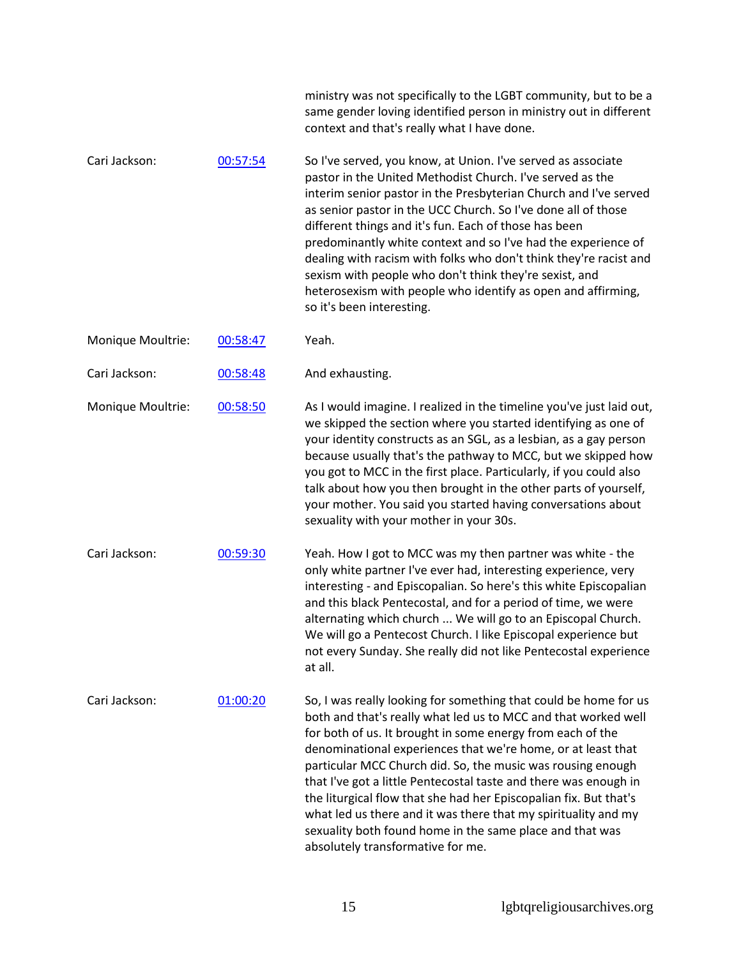|                   |          | ministry was not specifically to the LGBT community, but to be a<br>same gender loving identified person in ministry out in different<br>context and that's really what I have done.                                                                                                                                                                                                                                                                                                                                                                                                                                                        |
|-------------------|----------|---------------------------------------------------------------------------------------------------------------------------------------------------------------------------------------------------------------------------------------------------------------------------------------------------------------------------------------------------------------------------------------------------------------------------------------------------------------------------------------------------------------------------------------------------------------------------------------------------------------------------------------------|
| Cari Jackson:     | 00:57:54 | So I've served, you know, at Union. I've served as associate<br>pastor in the United Methodist Church. I've served as the<br>interim senior pastor in the Presbyterian Church and I've served<br>as senior pastor in the UCC Church. So I've done all of those<br>different things and it's fun. Each of those has been<br>predominantly white context and so I've had the experience of<br>dealing with racism with folks who don't think they're racist and<br>sexism with people who don't think they're sexist, and<br>heterosexism with people who identify as open and affirming,<br>so it's been interesting.                        |
| Monique Moultrie: | 00:58:47 | Yeah.                                                                                                                                                                                                                                                                                                                                                                                                                                                                                                                                                                                                                                       |
| Cari Jackson:     | 00:58:48 | And exhausting.                                                                                                                                                                                                                                                                                                                                                                                                                                                                                                                                                                                                                             |
| Monique Moultrie: | 00:58:50 | As I would imagine. I realized in the timeline you've just laid out,<br>we skipped the section where you started identifying as one of<br>your identity constructs as an SGL, as a lesbian, as a gay person<br>because usually that's the pathway to MCC, but we skipped how<br>you got to MCC in the first place. Particularly, if you could also<br>talk about how you then brought in the other parts of yourself,<br>your mother. You said you started having conversations about<br>sexuality with your mother in your 30s.                                                                                                            |
| Cari Jackson:     | 00:59:30 | Yeah. How I got to MCC was my then partner was white - the<br>only white partner I've ever had, interesting experience, very<br>interesting - and Episcopalian. So here's this white Episcopalian<br>and this black Pentecostal, and for a period of time, we were<br>alternating which church  We will go to an Episcopal Church.<br>We will go a Pentecost Church. I like Episcopal experience but<br>not every Sunday. She really did not like Pentecostal experience<br>at all.                                                                                                                                                         |
| Cari Jackson:     | 01:00:20 | So, I was really looking for something that could be home for us<br>both and that's really what led us to MCC and that worked well<br>for both of us. It brought in some energy from each of the<br>denominational experiences that we're home, or at least that<br>particular MCC Church did. So, the music was rousing enough<br>that I've got a little Pentecostal taste and there was enough in<br>the liturgical flow that she had her Episcopalian fix. But that's<br>what led us there and it was there that my spirituality and my<br>sexuality both found home in the same place and that was<br>absolutely transformative for me. |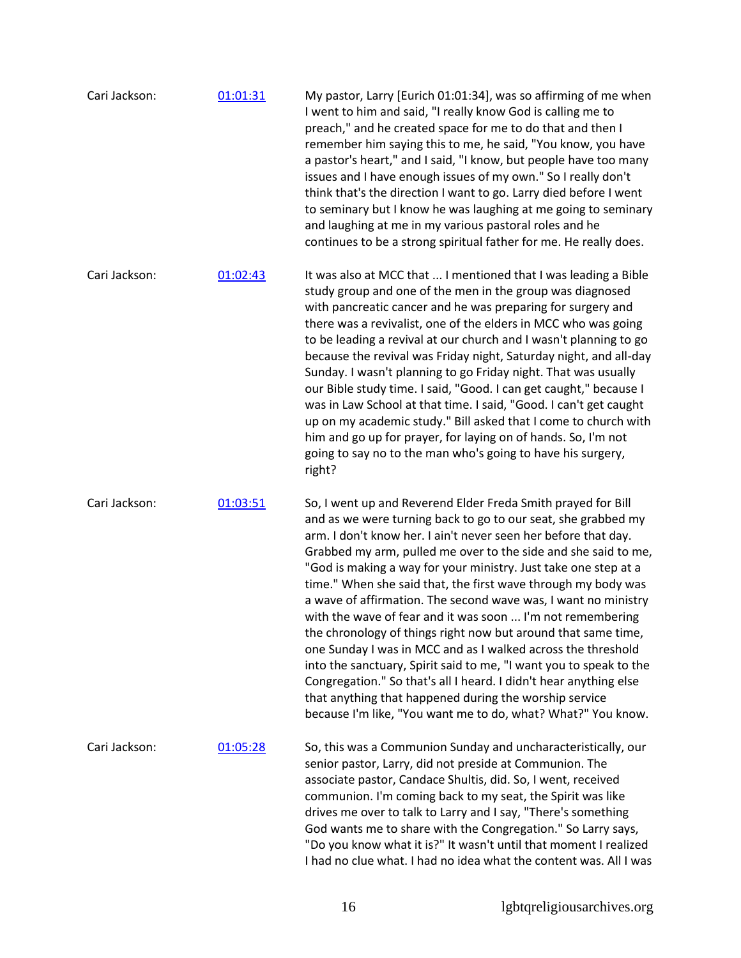| Cari Jackson: | 01:01:31 | My pastor, Larry [Eurich 01:01:34], was so affirming of me when<br>I went to him and said, "I really know God is calling me to<br>preach," and he created space for me to do that and then I<br>remember him saying this to me, he said, "You know, you have<br>a pastor's heart," and I said, "I know, but people have too many<br>issues and I have enough issues of my own." So I really don't<br>think that's the direction I want to go. Larry died before I went<br>to seminary but I know he was laughing at me going to seminary<br>and laughing at me in my various pastoral roles and he<br>continues to be a strong spiritual father for me. He really does.                                                                                                                                                                                                                                                                     |
|---------------|----------|---------------------------------------------------------------------------------------------------------------------------------------------------------------------------------------------------------------------------------------------------------------------------------------------------------------------------------------------------------------------------------------------------------------------------------------------------------------------------------------------------------------------------------------------------------------------------------------------------------------------------------------------------------------------------------------------------------------------------------------------------------------------------------------------------------------------------------------------------------------------------------------------------------------------------------------------|
| Cari Jackson: | 01:02:43 | It was also at MCC that  I mentioned that I was leading a Bible<br>study group and one of the men in the group was diagnosed<br>with pancreatic cancer and he was preparing for surgery and<br>there was a revivalist, one of the elders in MCC who was going<br>to be leading a revival at our church and I wasn't planning to go<br>because the revival was Friday night, Saturday night, and all-day<br>Sunday. I wasn't planning to go Friday night. That was usually<br>our Bible study time. I said, "Good. I can get caught," because I<br>was in Law School at that time. I said, "Good. I can't get caught<br>up on my academic study." Bill asked that I come to church with<br>him and go up for prayer, for laying on of hands. So, I'm not<br>going to say no to the man who's going to have his surgery,<br>right?                                                                                                            |
| Cari Jackson: | 01:03:51 | So, I went up and Reverend Elder Freda Smith prayed for Bill<br>and as we were turning back to go to our seat, she grabbed my<br>arm. I don't know her. I ain't never seen her before that day.<br>Grabbed my arm, pulled me over to the side and she said to me,<br>"God is making a way for your ministry. Just take one step at a<br>time." When she said that, the first wave through my body was<br>a wave of affirmation. The second wave was, I want no ministry<br>with the wave of fear and it was soon  I'm not remembering<br>the chronology of things right now but around that same time,<br>one Sunday I was in MCC and as I walked across the threshold<br>into the sanctuary, Spirit said to me, "I want you to speak to the<br>Congregation." So that's all I heard. I didn't hear anything else<br>that anything that happened during the worship service<br>because I'm like, "You want me to do, what? What?" You know. |
| Cari Jackson: | 01:05:28 | So, this was a Communion Sunday and uncharacteristically, our<br>senior pastor, Larry, did not preside at Communion. The<br>associate pastor, Candace Shultis, did. So, I went, received<br>communion. I'm coming back to my seat, the Spirit was like<br>drives me over to talk to Larry and I say, "There's something<br>God wants me to share with the Congregation." So Larry says,<br>"Do you know what it is?" It wasn't until that moment I realized<br>I had no clue what. I had no idea what the content was. All I was                                                                                                                                                                                                                                                                                                                                                                                                            |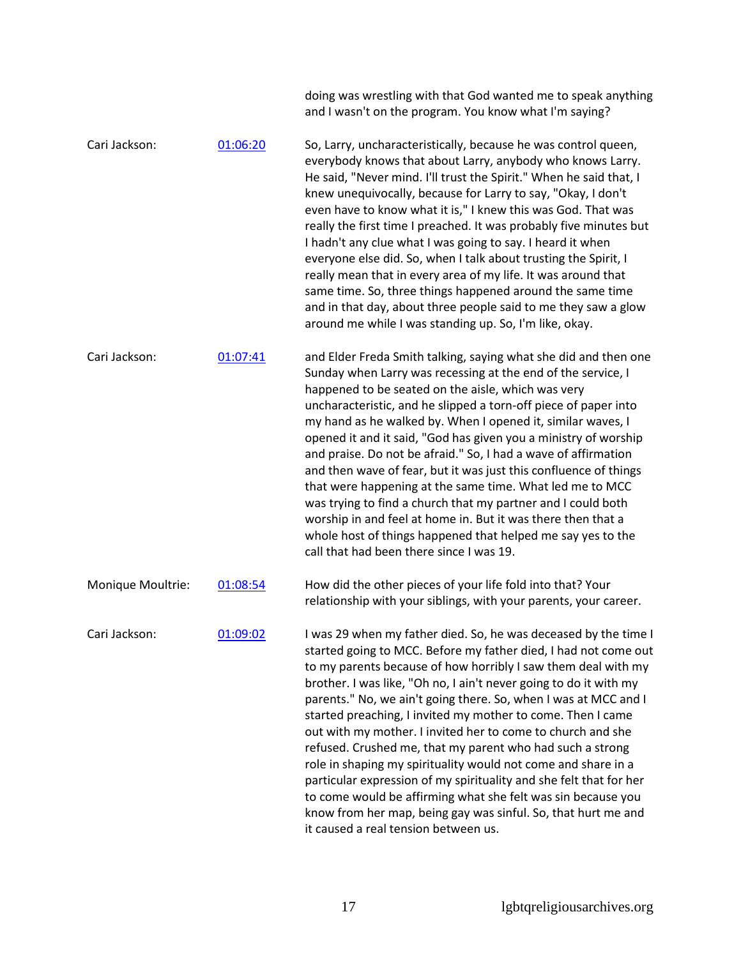|                   |          | doing was wrestling with that God wanted me to speak anything<br>and I wasn't on the program. You know what I'm saying?                                                                                                                                                                                                                                                                                                                                                                                                                                                                                                                                                                                                                                                                                                                                |
|-------------------|----------|--------------------------------------------------------------------------------------------------------------------------------------------------------------------------------------------------------------------------------------------------------------------------------------------------------------------------------------------------------------------------------------------------------------------------------------------------------------------------------------------------------------------------------------------------------------------------------------------------------------------------------------------------------------------------------------------------------------------------------------------------------------------------------------------------------------------------------------------------------|
| Cari Jackson:     | 01:06:20 | So, Larry, uncharacteristically, because he was control queen,<br>everybody knows that about Larry, anybody who knows Larry.<br>He said, "Never mind. I'll trust the Spirit." When he said that, I<br>knew unequivocally, because for Larry to say, "Okay, I don't<br>even have to know what it is," I knew this was God. That was<br>really the first time I preached. It was probably five minutes but<br>I hadn't any clue what I was going to say. I heard it when<br>everyone else did. So, when I talk about trusting the Spirit, I<br>really mean that in every area of my life. It was around that<br>same time. So, three things happened around the same time<br>and in that day, about three people said to me they saw a glow<br>around me while I was standing up. So, I'm like, okay.                                                    |
| Cari Jackson:     | 01:07:41 | and Elder Freda Smith talking, saying what she did and then one<br>Sunday when Larry was recessing at the end of the service, I<br>happened to be seated on the aisle, which was very<br>uncharacteristic, and he slipped a torn-off piece of paper into<br>my hand as he walked by. When I opened it, similar waves, I<br>opened it and it said, "God has given you a ministry of worship<br>and praise. Do not be afraid." So, I had a wave of affirmation<br>and then wave of fear, but it was just this confluence of things<br>that were happening at the same time. What led me to MCC<br>was trying to find a church that my partner and I could both<br>worship in and feel at home in. But it was there then that a<br>whole host of things happened that helped me say yes to the<br>call that had been there since I was 19.                |
| Monique Moultrie: | 01:08:54 | How did the other pieces of your life fold into that? Your<br>relationship with your siblings, with your parents, your career.                                                                                                                                                                                                                                                                                                                                                                                                                                                                                                                                                                                                                                                                                                                         |
| Cari Jackson:     | 01:09:02 | I was 29 when my father died. So, he was deceased by the time I<br>started going to MCC. Before my father died, I had not come out<br>to my parents because of how horribly I saw them deal with my<br>brother. I was like, "Oh no, I ain't never going to do it with my<br>parents." No, we ain't going there. So, when I was at MCC and I<br>started preaching, I invited my mother to come. Then I came<br>out with my mother. I invited her to come to church and she<br>refused. Crushed me, that my parent who had such a strong<br>role in shaping my spirituality would not come and share in a<br>particular expression of my spirituality and she felt that for her<br>to come would be affirming what she felt was sin because you<br>know from her map, being gay was sinful. So, that hurt me and<br>it caused a real tension between us. |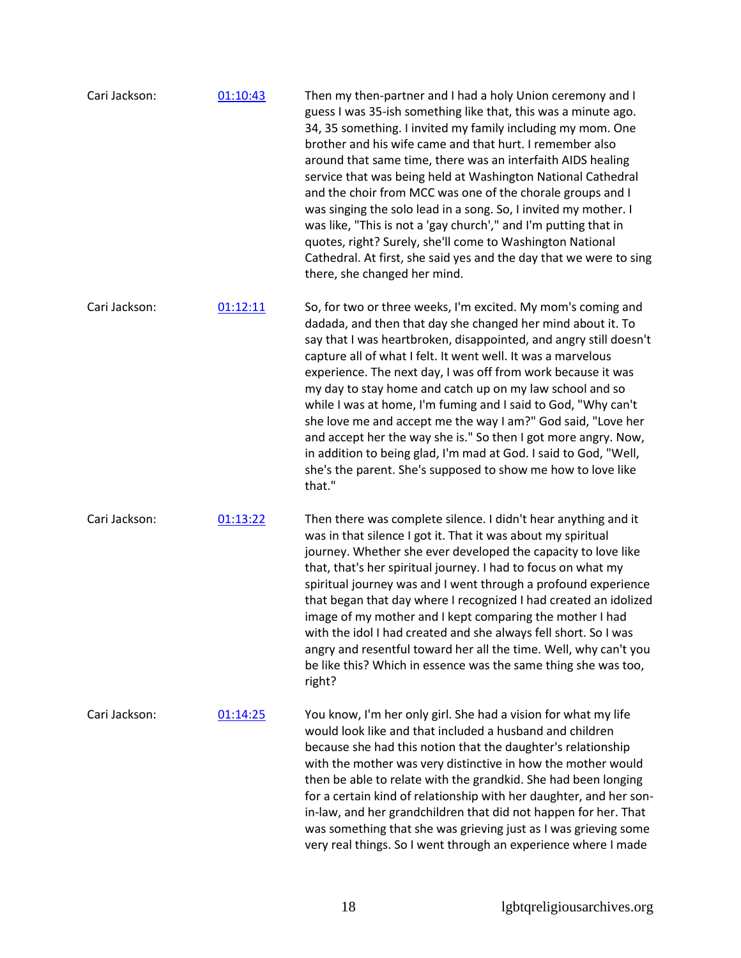| Cari Jackson: | 01:10:43 | Then my then-partner and I had a holy Union ceremony and I<br>guess I was 35-ish something like that, this was a minute ago.<br>34, 35 something. I invited my family including my mom. One<br>brother and his wife came and that hurt. I remember also<br>around that same time, there was an interfaith AIDS healing<br>service that was being held at Washington National Cathedral<br>and the choir from MCC was one of the chorale groups and I<br>was singing the solo lead in a song. So, I invited my mother. I<br>was like, "This is not a 'gay church'," and I'm putting that in<br>quotes, right? Surely, she'll come to Washington National<br>Cathedral. At first, she said yes and the day that we were to sing<br>there, she changed her mind. |
|---------------|----------|---------------------------------------------------------------------------------------------------------------------------------------------------------------------------------------------------------------------------------------------------------------------------------------------------------------------------------------------------------------------------------------------------------------------------------------------------------------------------------------------------------------------------------------------------------------------------------------------------------------------------------------------------------------------------------------------------------------------------------------------------------------|
| Cari Jackson: | 01:12:11 | So, for two or three weeks, I'm excited. My mom's coming and<br>dadada, and then that day she changed her mind about it. To<br>say that I was heartbroken, disappointed, and angry still doesn't<br>capture all of what I felt. It went well. It was a marvelous<br>experience. The next day, I was off from work because it was<br>my day to stay home and catch up on my law school and so<br>while I was at home, I'm fuming and I said to God, "Why can't<br>she love me and accept me the way I am?" God said, "Love her<br>and accept her the way she is." So then I got more angry. Now,<br>in addition to being glad, I'm mad at God. I said to God, "Well,<br>she's the parent. She's supposed to show me how to love like<br>that."                 |
| Cari Jackson: | 01:13:22 | Then there was complete silence. I didn't hear anything and it<br>was in that silence I got it. That it was about my spiritual<br>journey. Whether she ever developed the capacity to love like<br>that, that's her spiritual journey. I had to focus on what my<br>spiritual journey was and I went through a profound experience<br>that began that day where I recognized I had created an idolized<br>image of my mother and I kept comparing the mother I had<br>with the idol I had created and she always fell short. So I was<br>angry and resentful toward her all the time. Well, why can't you<br>be like this? Which in essence was the same thing she was too,<br>right?                                                                         |
| Cari Jackson: | 01:14:25 | You know, I'm her only girl. She had a vision for what my life<br>would look like and that included a husband and children<br>because she had this notion that the daughter's relationship<br>with the mother was very distinctive in how the mother would<br>then be able to relate with the grandkid. She had been longing<br>for a certain kind of relationship with her daughter, and her son-<br>in-law, and her grandchildren that did not happen for her. That<br>was something that she was grieving just as I was grieving some<br>very real things. So I went through an experience where I made                                                                                                                                                    |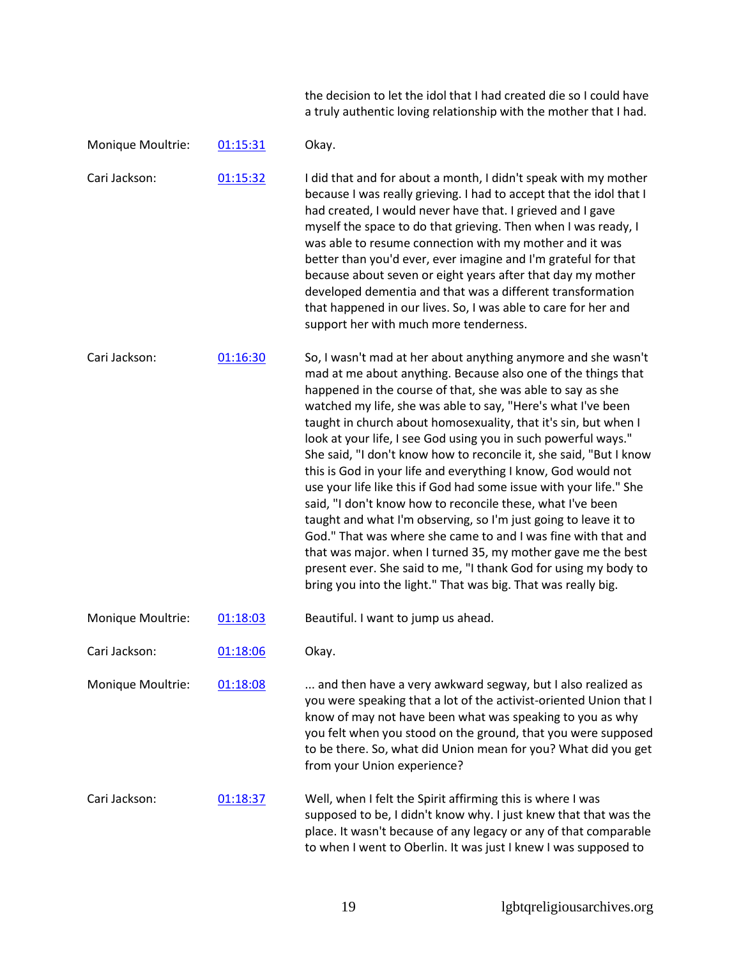the decision to let the idol that I had created die so I could have a truly authentic loving relationship with the mother that I had.

| Monique Moultrie: | 01:15:31 | Okay.                                                                                                                                                                                                                                                                                                                                                                                                                                                                                                                                                                                                                                                                                                                                                                                                                                                                                                                                                                                                                |
|-------------------|----------|----------------------------------------------------------------------------------------------------------------------------------------------------------------------------------------------------------------------------------------------------------------------------------------------------------------------------------------------------------------------------------------------------------------------------------------------------------------------------------------------------------------------------------------------------------------------------------------------------------------------------------------------------------------------------------------------------------------------------------------------------------------------------------------------------------------------------------------------------------------------------------------------------------------------------------------------------------------------------------------------------------------------|
| Cari Jackson:     | 01:15:32 | I did that and for about a month, I didn't speak with my mother<br>because I was really grieving. I had to accept that the idol that I<br>had created, I would never have that. I grieved and I gave<br>myself the space to do that grieving. Then when I was ready, I<br>was able to resume connection with my mother and it was<br>better than you'd ever, ever imagine and I'm grateful for that<br>because about seven or eight years after that day my mother<br>developed dementia and that was a different transformation<br>that happened in our lives. So, I was able to care for her and<br>support her with much more tenderness.                                                                                                                                                                                                                                                                                                                                                                         |
| Cari Jackson:     | 01:16:30 | So, I wasn't mad at her about anything anymore and she wasn't<br>mad at me about anything. Because also one of the things that<br>happened in the course of that, she was able to say as she<br>watched my life, she was able to say, "Here's what I've been<br>taught in church about homosexuality, that it's sin, but when I<br>look at your life, I see God using you in such powerful ways."<br>She said, "I don't know how to reconcile it, she said, "But I know<br>this is God in your life and everything I know, God would not<br>use your life like this if God had some issue with your life." She<br>said, "I don't know how to reconcile these, what I've been<br>taught and what I'm observing, so I'm just going to leave it to<br>God." That was where she came to and I was fine with that and<br>that was major. when I turned 35, my mother gave me the best<br>present ever. She said to me, "I thank God for using my body to<br>bring you into the light." That was big. That was really big. |
| Monique Moultrie: | 01:18:03 | Beautiful. I want to jump us ahead.                                                                                                                                                                                                                                                                                                                                                                                                                                                                                                                                                                                                                                                                                                                                                                                                                                                                                                                                                                                  |
| Cari Jackson:     | 01:18:06 | Okay.                                                                                                                                                                                                                                                                                                                                                                                                                                                                                                                                                                                                                                                                                                                                                                                                                                                                                                                                                                                                                |
| Monique Moultrie: | 01:18:08 | and then have a very awkward segway, but I also realized as<br>you were speaking that a lot of the activist-oriented Union that I<br>know of may not have been what was speaking to you as why<br>you felt when you stood on the ground, that you were supposed<br>to be there. So, what did Union mean for you? What did you get<br>from your Union experience?                                                                                                                                                                                                                                                                                                                                                                                                                                                                                                                                                                                                                                                     |
| Cari Jackson:     | 01:18:37 | Well, when I felt the Spirit affirming this is where I was<br>supposed to be, I didn't know why. I just knew that that was the<br>place. It wasn't because of any legacy or any of that comparable<br>to when I went to Oberlin. It was just I knew I was supposed to                                                                                                                                                                                                                                                                                                                                                                                                                                                                                                                                                                                                                                                                                                                                                |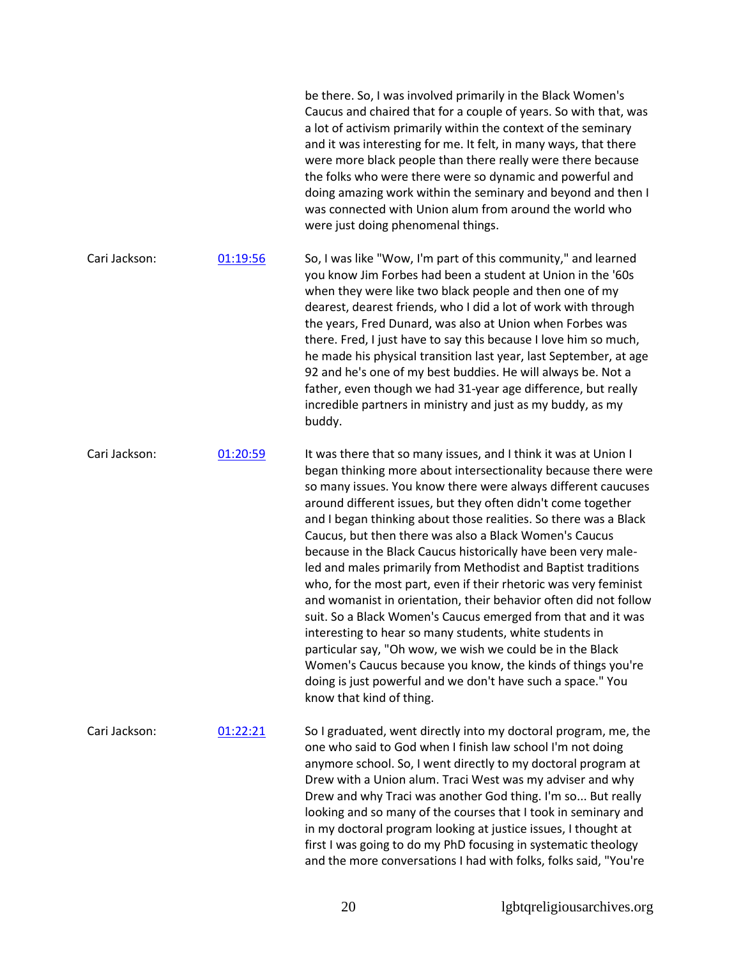|               |          | be there. So, I was involved primarily in the Black Women's<br>Caucus and chaired that for a couple of years. So with that, was<br>a lot of activism primarily within the context of the seminary<br>and it was interesting for me. It felt, in many ways, that there<br>were more black people than there really were there because<br>the folks who were there were so dynamic and powerful and<br>doing amazing work within the seminary and beyond and then I<br>was connected with Union alum from around the world who<br>were just doing phenomenal things.                                                                                                                                                                                                                                                                                                                                                                                                                                                           |
|---------------|----------|------------------------------------------------------------------------------------------------------------------------------------------------------------------------------------------------------------------------------------------------------------------------------------------------------------------------------------------------------------------------------------------------------------------------------------------------------------------------------------------------------------------------------------------------------------------------------------------------------------------------------------------------------------------------------------------------------------------------------------------------------------------------------------------------------------------------------------------------------------------------------------------------------------------------------------------------------------------------------------------------------------------------------|
| Cari Jackson: | 01:19:56 | So, I was like "Wow, I'm part of this community," and learned<br>you know Jim Forbes had been a student at Union in the '60s<br>when they were like two black people and then one of my<br>dearest, dearest friends, who I did a lot of work with through<br>the years, Fred Dunard, was also at Union when Forbes was<br>there. Fred, I just have to say this because I love him so much,<br>he made his physical transition last year, last September, at age<br>92 and he's one of my best buddies. He will always be. Not a<br>father, even though we had 31-year age difference, but really<br>incredible partners in ministry and just as my buddy, as my<br>buddy.                                                                                                                                                                                                                                                                                                                                                    |
| Cari Jackson: | 01:20:59 | It was there that so many issues, and I think it was at Union I<br>began thinking more about intersectionality because there were<br>so many issues. You know there were always different caucuses<br>around different issues, but they often didn't come together<br>and I began thinking about those realities. So there was a Black<br>Caucus, but then there was also a Black Women's Caucus<br>because in the Black Caucus historically have been very male-<br>led and males primarily from Methodist and Baptist traditions<br>who, for the most part, even if their rhetoric was very feminist<br>and womanist in orientation, their behavior often did not follow<br>suit. So a Black Women's Caucus emerged from that and it was<br>interesting to hear so many students, white students in<br>particular say, "Oh wow, we wish we could be in the Black<br>Women's Caucus because you know, the kinds of things you're<br>doing is just powerful and we don't have such a space." You<br>know that kind of thing. |
| Cari Jackson: | 01:22:21 | So I graduated, went directly into my doctoral program, me, the<br>one who said to God when I finish law school I'm not doing<br>anymore school. So, I went directly to my doctoral program at<br>Drew with a Union alum. Traci West was my adviser and why<br>Drew and why Traci was another God thing. I'm so But really<br>looking and so many of the courses that I took in seminary and<br>in my doctoral program looking at justice issues, I thought at<br>first I was going to do my PhD focusing in systematic theology<br>and the more conversations I had with folks, folks said, "You're                                                                                                                                                                                                                                                                                                                                                                                                                         |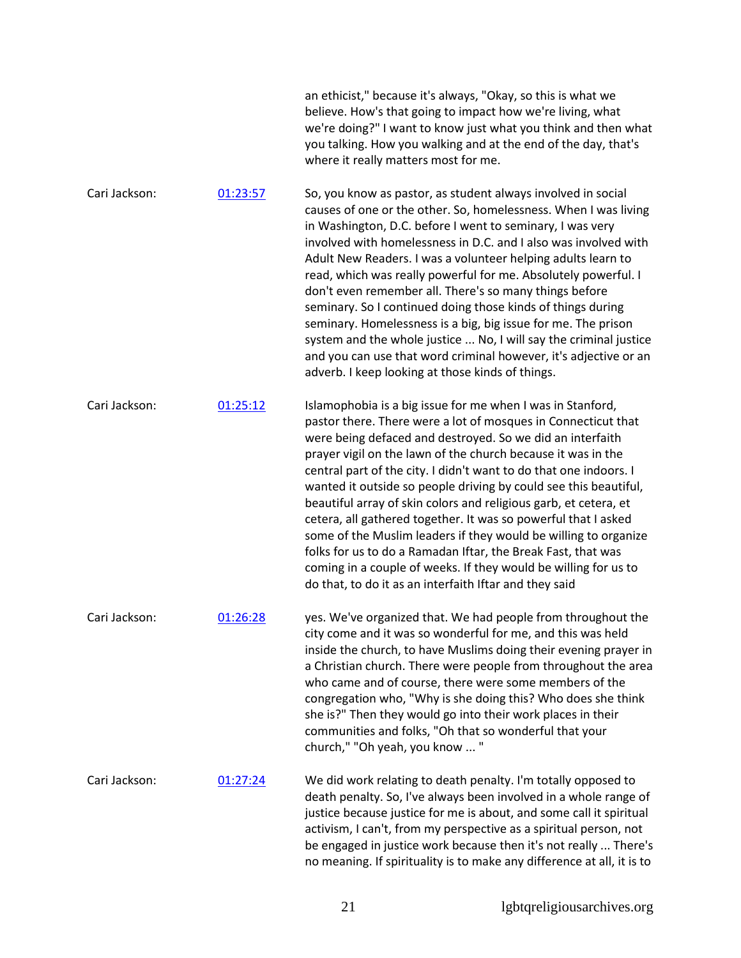|               |          | an ethicist," because it's always, "Okay, so this is what we<br>believe. How's that going to impact how we're living, what<br>we're doing?" I want to know just what you think and then what<br>you talking. How you walking and at the end of the day, that's<br>where it really matters most for me.                                                                                                                                                                                                                                                                                                                                                                                                                                                                                                  |
|---------------|----------|---------------------------------------------------------------------------------------------------------------------------------------------------------------------------------------------------------------------------------------------------------------------------------------------------------------------------------------------------------------------------------------------------------------------------------------------------------------------------------------------------------------------------------------------------------------------------------------------------------------------------------------------------------------------------------------------------------------------------------------------------------------------------------------------------------|
| Cari Jackson: | 01:23:57 | So, you know as pastor, as student always involved in social<br>causes of one or the other. So, homelessness. When I was living<br>in Washington, D.C. before I went to seminary, I was very<br>involved with homelessness in D.C. and I also was involved with<br>Adult New Readers. I was a volunteer helping adults learn to<br>read, which was really powerful for me. Absolutely powerful. I<br>don't even remember all. There's so many things before<br>seminary. So I continued doing those kinds of things during<br>seminary. Homelessness is a big, big issue for me. The prison<br>system and the whole justice  No, I will say the criminal justice<br>and you can use that word criminal however, it's adjective or an<br>adverb. I keep looking at those kinds of things.                |
| Cari Jackson: | 01:25:12 | Islamophobia is a big issue for me when I was in Stanford,<br>pastor there. There were a lot of mosques in Connecticut that<br>were being defaced and destroyed. So we did an interfaith<br>prayer vigil on the lawn of the church because it was in the<br>central part of the city. I didn't want to do that one indoors. I<br>wanted it outside so people driving by could see this beautiful,<br>beautiful array of skin colors and religious garb, et cetera, et<br>cetera, all gathered together. It was so powerful that I asked<br>some of the Muslim leaders if they would be willing to organize<br>folks for us to do a Ramadan Iftar, the Break Fast, that was<br>coming in a couple of weeks. If they would be willing for us to<br>do that, to do it as an interfaith Iftar and they said |
| Cari Jackson: | 01:26:28 | yes. We've organized that. We had people from throughout the<br>city come and it was so wonderful for me, and this was held<br>inside the church, to have Muslims doing their evening prayer in<br>a Christian church. There were people from throughout the area<br>who came and of course, there were some members of the<br>congregation who, "Why is she doing this? Who does she think<br>she is?" Then they would go into their work places in their<br>communities and folks, "Oh that so wonderful that your<br>church," "Oh yeah, you know  "                                                                                                                                                                                                                                                  |
| Cari Jackson: | 01:27:24 | We did work relating to death penalty. I'm totally opposed to<br>death penalty. So, I've always been involved in a whole range of<br>justice because justice for me is about, and some call it spiritual<br>activism, I can't, from my perspective as a spiritual person, not<br>be engaged in justice work because then it's not really  There's<br>no meaning. If spirituality is to make any difference at all, it is to                                                                                                                                                                                                                                                                                                                                                                             |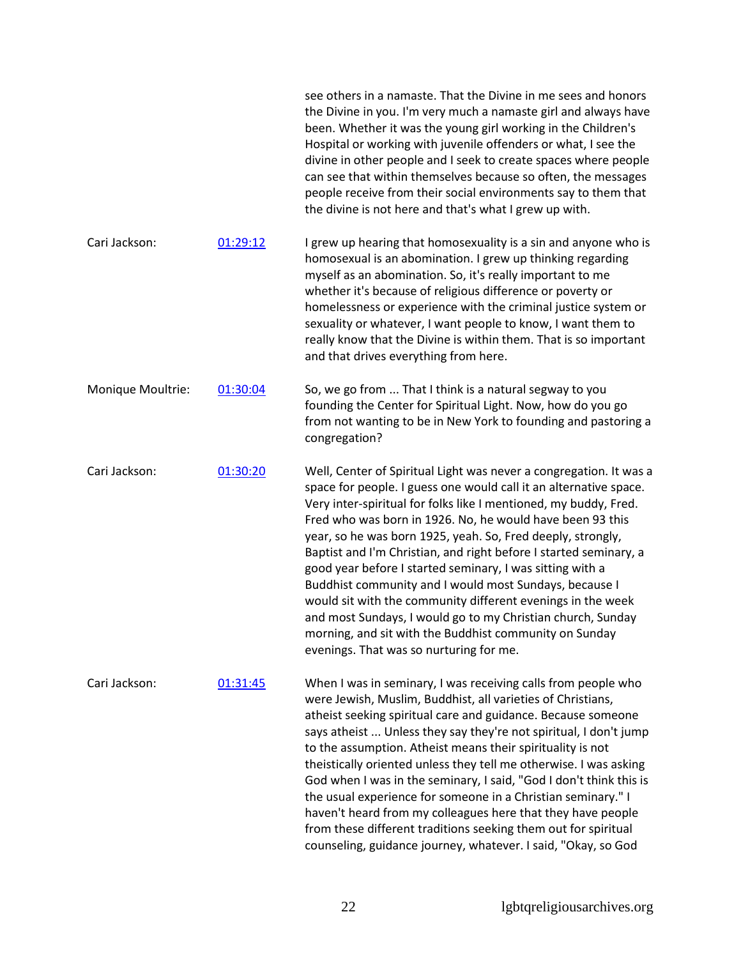|                   |          | see others in a namaste. That the Divine in me sees and honors<br>the Divine in you. I'm very much a namaste girl and always have<br>been. Whether it was the young girl working in the Children's<br>Hospital or working with juvenile offenders or what, I see the<br>divine in other people and I seek to create spaces where people<br>can see that within themselves because so often, the messages<br>people receive from their social environments say to them that<br>the divine is not here and that's what I grew up with.                                                                                                                                                                                                                                   |
|-------------------|----------|------------------------------------------------------------------------------------------------------------------------------------------------------------------------------------------------------------------------------------------------------------------------------------------------------------------------------------------------------------------------------------------------------------------------------------------------------------------------------------------------------------------------------------------------------------------------------------------------------------------------------------------------------------------------------------------------------------------------------------------------------------------------|
| Cari Jackson:     | 01:29:12 | I grew up hearing that homosexuality is a sin and anyone who is<br>homosexual is an abomination. I grew up thinking regarding<br>myself as an abomination. So, it's really important to me<br>whether it's because of religious difference or poverty or<br>homelessness or experience with the criminal justice system or<br>sexuality or whatever, I want people to know, I want them to<br>really know that the Divine is within them. That is so important<br>and that drives everything from here.                                                                                                                                                                                                                                                                |
| Monique Moultrie: | 01:30:04 | So, we go from  That I think is a natural segway to you<br>founding the Center for Spiritual Light. Now, how do you go<br>from not wanting to be in New York to founding and pastoring a<br>congregation?                                                                                                                                                                                                                                                                                                                                                                                                                                                                                                                                                              |
| Cari Jackson:     | 01:30:20 | Well, Center of Spiritual Light was never a congregation. It was a<br>space for people. I guess one would call it an alternative space.<br>Very inter-spiritual for folks like I mentioned, my buddy, Fred.<br>Fred who was born in 1926. No, he would have been 93 this<br>year, so he was born 1925, yeah. So, Fred deeply, strongly,<br>Baptist and I'm Christian, and right before I started seminary, a<br>good year before I started seminary, I was sitting with a<br>Buddhist community and I would most Sundays, because I<br>would sit with the community different evenings in the week<br>and most Sundays, I would go to my Christian church, Sunday<br>morning, and sit with the Buddhist community on Sunday<br>evenings. That was so nurturing for me. |
| Cari Jackson:     | 01:31:45 | When I was in seminary, I was receiving calls from people who<br>were Jewish, Muslim, Buddhist, all varieties of Christians,<br>atheist seeking spiritual care and guidance. Because someone<br>says atheist  Unless they say they're not spiritual, I don't jump<br>to the assumption. Atheist means their spirituality is not<br>theistically oriented unless they tell me otherwise. I was asking<br>God when I was in the seminary, I said, "God I don't think this is<br>the usual experience for someone in a Christian seminary." I<br>haven't heard from my colleagues here that they have people<br>from these different traditions seeking them out for spiritual<br>counseling, guidance journey, whatever. I said, "Okay, so God                           |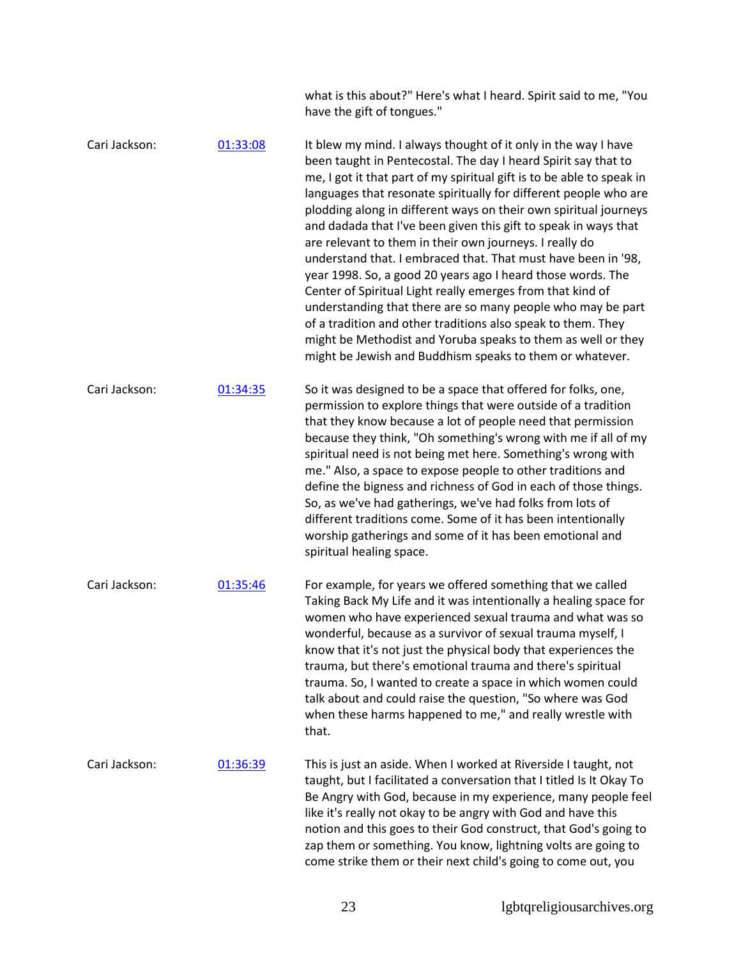what is this about?" Here's what I heard. Spirit said to me, "You have the gift of tongues."

Cari Jackson: [01:33:08](https://www.rev.com/transcript-editor/Edit?token=yJuuerJey69YrWHFVUHcv2VUr7L2nJG96LtICOEIr32nqMYhZLhrW_KAQnIBpZAIXRFZdBmGzzLkZAlD6u2J_rKcB-Y&loadFrom=DocumentDeeplink&ts=5588.47) It blew my mind. I always thought of it only in the way I have been taught in Pentecostal. The day I heard Spirit say that to me, I got it that part of my spiritual gift is to be able to speak in languages that resonate spiritually for different people who are plodding along in different ways on their own spiritual journeys and dadada that I've been given this gift to speak in ways that are relevant to them in their own journeys. I really do understand that. I embraced that. That must have been in '98, year 1998. So, a good 20 years ago I heard those words. The Center of Spiritual Light really emerges from that kind of understanding that there are so many people who may be part of a tradition and other traditions also speak to them. They might be Methodist and Yoruba speaks to them as well or they might be Jewish and Buddhism speaks to them or whatever. Cari Jackson: [01:34:35](https://www.rev.com/transcript-editor/Edit?token=NAqFVj8sESp4yym6hlV89JL9lNeHOP8qm-UklWjeGexjI2uERMD-P3V-RLAlt1UF9GA_u1N165F-HzptVHA4B-ROcGY&loadFrom=DocumentDeeplink&ts=5675.97) So it was designed to be a space that offered for folks, one, permission to explore things that were outside of a tradition that they know because a lot of people need that permission because they think, "Oh something's wrong with me if all of my spiritual need is not being met here. Something's wrong with me." Also, a space to expose people to other traditions and define the bigness and richness of God in each of those things. So, as we've had gatherings, we've had folks from lots of different traditions come. Some of it has been intentionally worship gatherings and some of it has been emotional and spiritual healing space. Cari Jackson: [01:35:46](https://www.rev.com/transcript-editor/Edit?token=uRS9uotraP08tyDK68smsYHdSTea9AID1Onliq4QeXud6zt_WaYRccItjGWjg8S7sbH06CJ8OqXP1tJwryQrvklZ7BQ&loadFrom=DocumentDeeplink&ts=5746.48) For example, for years we offered something that we called Taking Back My Life and it was intentionally a healing space for women who have experienced sexual trauma and what was so wonderful, because as a survivor of sexual trauma myself, I know that it's not just the physical body that experiences the trauma, but there's emotional trauma and there's spiritual trauma. So, I wanted to create a space in which women could talk about and could raise the question, "So where was God when these harms happened to me," and really wrestle with that. Cari Jackson: [01:36:39](https://www.rev.com/transcript-editor/Edit?token=KVly7byTh0bSWPYjGmkKg8Cecqaj6N_Kl4bBiLf1sr-DsVOS2AZHU785zzopalEBfH2oBDby2D8Sc3I9-EMlSjzSePc&loadFrom=DocumentDeeplink&ts=5799.59) This is just an aside. When I worked at Riverside I taught, not taught, but I facilitated a conversation that I titled Is It Okay To Be Angry with God, because in my experience, many people feel like it's really not okay to be angry with God and have this notion and this goes to their God construct, that God's going to

zap them or something. You know, lightning volts are going to come strike them or their next child's going to come out, you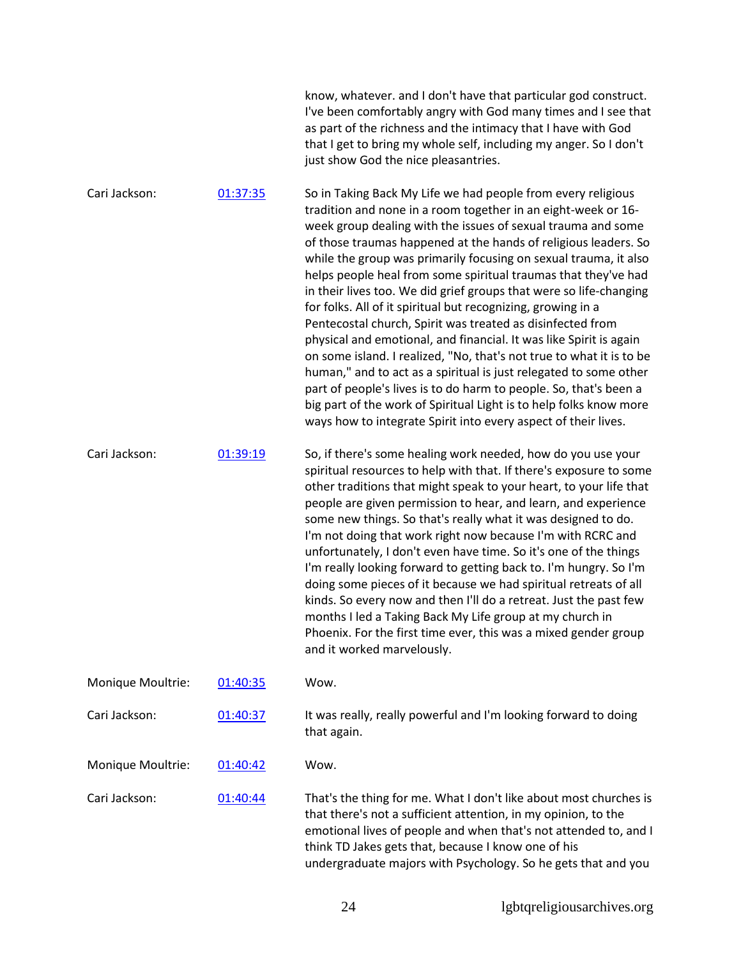|                   |          | know, whatever. and I don't have that particular god construct.<br>I've been comfortably angry with God many times and I see that<br>as part of the richness and the intimacy that I have with God<br>that I get to bring my whole self, including my anger. So I don't<br>just show God the nice pleasantries.                                                                                                                                                                                                                                                                                                                                                                                                                                                                                                                                                                                                                                                                                                                            |
|-------------------|----------|--------------------------------------------------------------------------------------------------------------------------------------------------------------------------------------------------------------------------------------------------------------------------------------------------------------------------------------------------------------------------------------------------------------------------------------------------------------------------------------------------------------------------------------------------------------------------------------------------------------------------------------------------------------------------------------------------------------------------------------------------------------------------------------------------------------------------------------------------------------------------------------------------------------------------------------------------------------------------------------------------------------------------------------------|
| Cari Jackson:     | 01:37:35 | So in Taking Back My Life we had people from every religious<br>tradition and none in a room together in an eight-week or 16-<br>week group dealing with the issues of sexual trauma and some<br>of those traumas happened at the hands of religious leaders. So<br>while the group was primarily focusing on sexual trauma, it also<br>helps people heal from some spiritual traumas that they've had<br>in their lives too. We did grief groups that were so life-changing<br>for folks. All of it spiritual but recognizing, growing in a<br>Pentecostal church, Spirit was treated as disinfected from<br>physical and emotional, and financial. It was like Spirit is again<br>on some island. I realized, "No, that's not true to what it is to be<br>human," and to act as a spiritual is just relegated to some other<br>part of people's lives is to do harm to people. So, that's been a<br>big part of the work of Spiritual Light is to help folks know more<br>ways how to integrate Spirit into every aspect of their lives. |
| Cari Jackson:     | 01:39:19 | So, if there's some healing work needed, how do you use your<br>spiritual resources to help with that. If there's exposure to some<br>other traditions that might speak to your heart, to your life that<br>people are given permission to hear, and learn, and experience<br>some new things. So that's really what it was designed to do.<br>I'm not doing that work right now because I'm with RCRC and<br>unfortunately, I don't even have time. So it's one of the things<br>I'm really looking forward to getting back to. I'm hungry. So I'm<br>doing some pieces of it because we had spiritual retreats of all<br>kinds. So every now and then I'll do a retreat. Just the past few<br>months I led a Taking Back My Life group at my church in<br>Phoenix. For the first time ever, this was a mixed gender group<br>and it worked marvelously.                                                                                                                                                                                  |
| Monique Moultrie: | 01:40:35 | Wow.                                                                                                                                                                                                                                                                                                                                                                                                                                                                                                                                                                                                                                                                                                                                                                                                                                                                                                                                                                                                                                       |
| Cari Jackson:     | 01:40:37 | It was really, really powerful and I'm looking forward to doing<br>that again.                                                                                                                                                                                                                                                                                                                                                                                                                                                                                                                                                                                                                                                                                                                                                                                                                                                                                                                                                             |
| Monique Moultrie: | 01:40:42 | Wow.                                                                                                                                                                                                                                                                                                                                                                                                                                                                                                                                                                                                                                                                                                                                                                                                                                                                                                                                                                                                                                       |
| Cari Jackson:     | 01:40:44 | That's the thing for me. What I don't like about most churches is<br>that there's not a sufficient attention, in my opinion, to the<br>emotional lives of people and when that's not attended to, and I<br>think TD Jakes gets that, because I know one of his<br>undergraduate majors with Psychology. So he gets that and you                                                                                                                                                                                                                                                                                                                                                                                                                                                                                                                                                                                                                                                                                                            |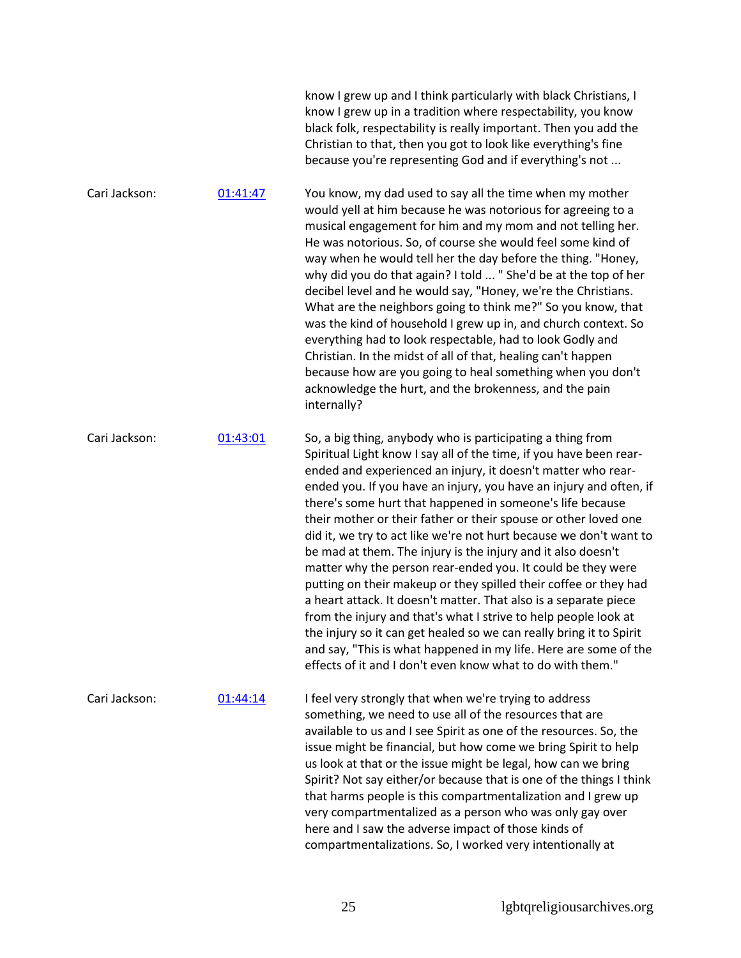|               |          | know I grew up and I think particularly with black Christians, I<br>know I grew up in a tradition where respectability, you know<br>black folk, respectability is really important. Then you add the<br>Christian to that, then you got to look like everything's fine<br>because you're representing God and if everything's not                                                                                                                                                                                                                                                                                                                                                                                                                                                                                                                                                                                                                                                                                               |
|---------------|----------|---------------------------------------------------------------------------------------------------------------------------------------------------------------------------------------------------------------------------------------------------------------------------------------------------------------------------------------------------------------------------------------------------------------------------------------------------------------------------------------------------------------------------------------------------------------------------------------------------------------------------------------------------------------------------------------------------------------------------------------------------------------------------------------------------------------------------------------------------------------------------------------------------------------------------------------------------------------------------------------------------------------------------------|
| Cari Jackson: | 01:41:47 | You know, my dad used to say all the time when my mother<br>would yell at him because he was notorious for agreeing to a<br>musical engagement for him and my mom and not telling her.<br>He was notorious. So, of course she would feel some kind of<br>way when he would tell her the day before the thing. "Honey,<br>why did you do that again? I told  " She'd be at the top of her<br>decibel level and he would say, "Honey, we're the Christians.<br>What are the neighbors going to think me?" So you know, that<br>was the kind of household I grew up in, and church context. So<br>everything had to look respectable, had to look Godly and<br>Christian. In the midst of all of that, healing can't happen<br>because how are you going to heal something when you don't<br>acknowledge the hurt, and the brokenness, and the pain<br>internally?                                                                                                                                                                 |
| Cari Jackson: | 01:43:01 | So, a big thing, anybody who is participating a thing from<br>Spiritual Light know I say all of the time, if you have been rear-<br>ended and experienced an injury, it doesn't matter who rear-<br>ended you. If you have an injury, you have an injury and often, if<br>there's some hurt that happened in someone's life because<br>their mother or their father or their spouse or other loved one<br>did it, we try to act like we're not hurt because we don't want to<br>be mad at them. The injury is the injury and it also doesn't<br>matter why the person rear-ended you. It could be they were<br>putting on their makeup or they spilled their coffee or they had<br>a heart attack. It doesn't matter. That also is a separate piece<br>from the injury and that's what I strive to help people look at<br>the injury so it can get healed so we can really bring it to Spirit<br>and say, "This is what happened in my life. Here are some of the<br>effects of it and I don't even know what to do with them." |
| Cari Jackson: | 01:44:14 | I feel very strongly that when we're trying to address<br>something, we need to use all of the resources that are<br>available to us and I see Spirit as one of the resources. So, the<br>issue might be financial, but how come we bring Spirit to help<br>us look at that or the issue might be legal, how can we bring<br>Spirit? Not say either/or because that is one of the things I think<br>that harms people is this compartmentalization and I grew up<br>very compartmentalized as a person who was only gay over<br>here and I saw the adverse impact of those kinds of<br>compartmentalizations. So, I worked very intentionally at                                                                                                                                                                                                                                                                                                                                                                                |